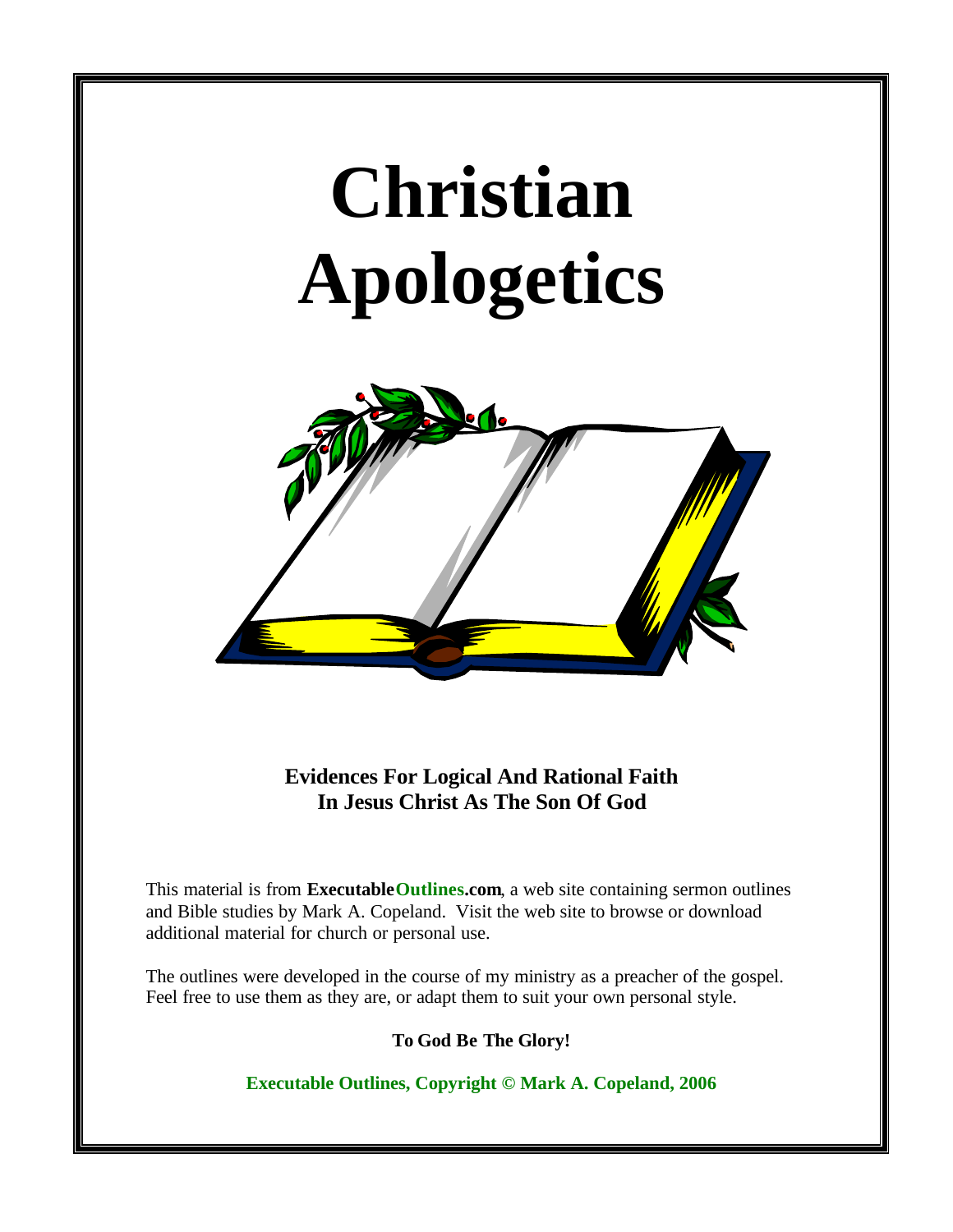# **Christian Apologetics**



**Evidences For Logical And Rational Faith In Jesus Christ As The Son Of God**

This material is from **Executable Outlines.com**, a web site containing sermon outlines and Bible studies by Mark A. Copeland. Visit the web site to browse or download additional material for church or personal use.

The outlines were developed in the course of my ministry as a preacher of the gospel. Feel free to use them as they are, or adapt them to suit your own personal style.

**To God Be The Glory!**

**Executable Outlines, Copyright © Mark A. Copeland, 2006**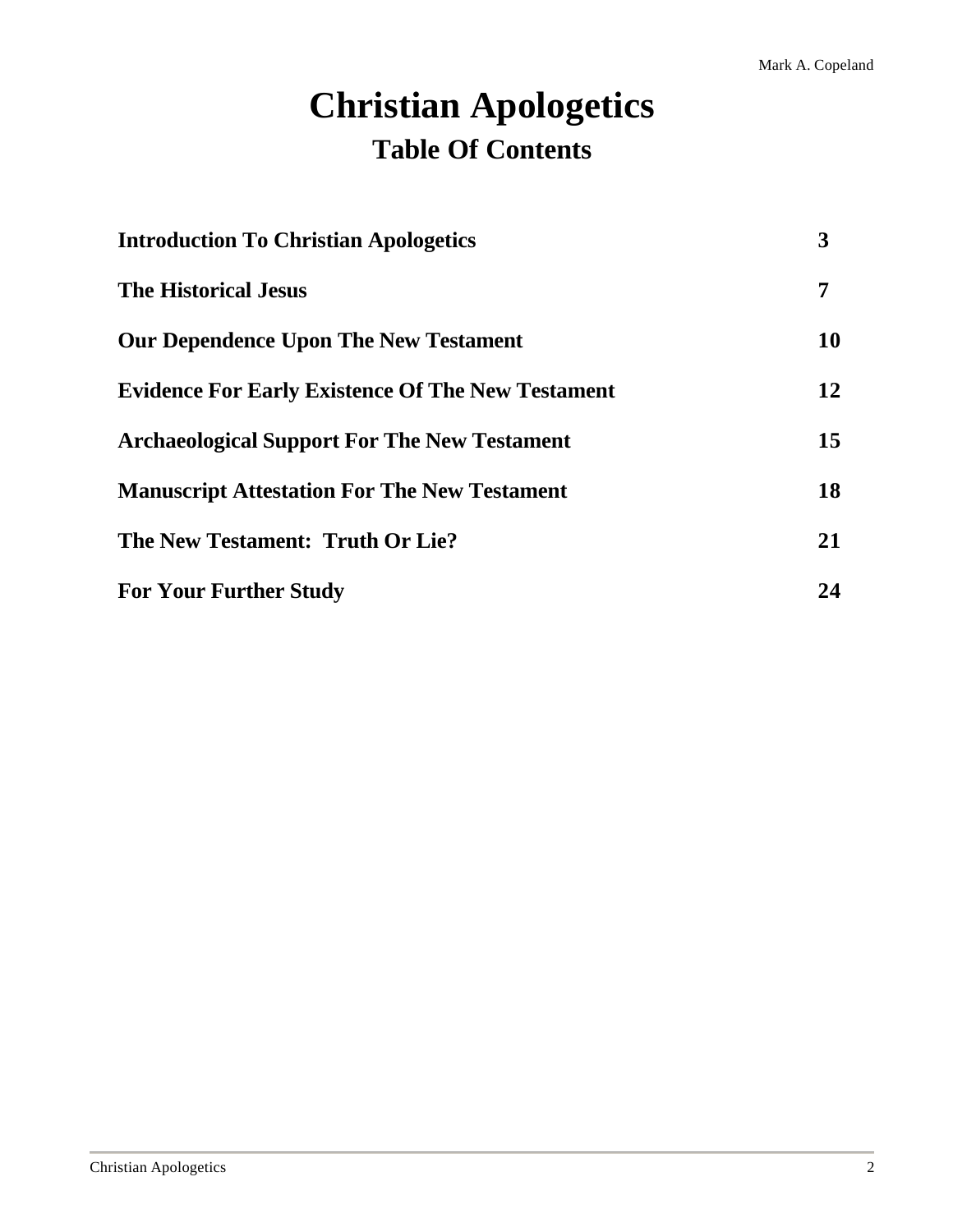# **Christian Apologetics Table Of Contents**

| <b>Introduction To Christian Apologetics</b>             | 3  |
|----------------------------------------------------------|----|
| <b>The Historical Jesus</b>                              | 7  |
| <b>Our Dependence Upon The New Testament</b>             | 10 |
| <b>Evidence For Early Existence Of The New Testament</b> | 12 |
| <b>Archaeological Support For The New Testament</b>      | 15 |
| <b>Manuscript Attestation For The New Testament</b>      | 18 |
| The New Testament: Truth Or Lie?                         | 21 |
| <b>For Your Further Study</b>                            | 24 |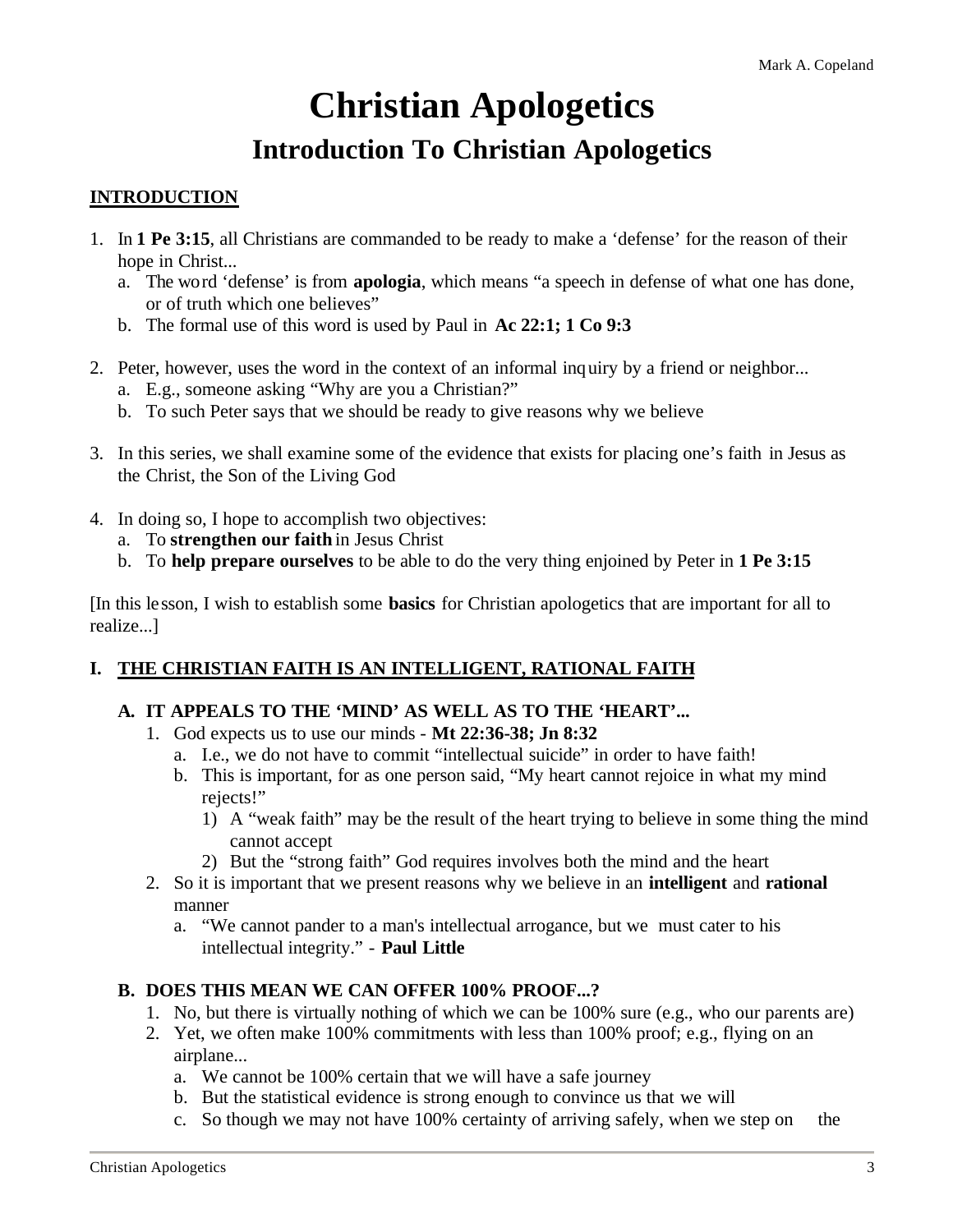# **Christian Apologetics Introduction To Christian Apologetics**

#### **INTRODUCTION**

- 1. In **1 Pe 3:15**, all Christians are commanded to be ready to make a 'defense' for the reason of their hope in Christ...
	- a. The word 'defense' is from **apologia**, which means "a speech in defense of what one has done, or of truth which one believes"
	- b. The formal use of this word is used by Paul in **Ac 22:1; 1 Co 9:3**
- 2. Peter, however, uses the word in the context of an informal inquiry by a friend or neighbor...
	- a. E.g., someone asking "Why are you a Christian?"
	- b. To such Peter says that we should be ready to give reasons why we believe
- 3. In this series, we shall examine some of the evidence that exists for placing one's faith in Jesus as the Christ, the Son of the Living God
- 4. In doing so, I hope to accomplish two objectives:
	- a. To **strengthen our faith** in Jesus Christ
	- b. To **help prepare ourselves** to be able to do the very thing enjoined by Peter in **1 Pe 3:15**

[In this lesson, I wish to establish some **basics** for Christian apologetics that are important for all to realize...]

#### **I. THE CHRISTIAN FAITH IS AN INTELLIGENT, RATIONAL FAITH**

#### **A. IT APPEALS TO THE 'MIND' AS WELL AS TO THE 'HEART'...**

- 1. God expects us to use our minds **Mt 22:36-38; Jn 8:32**
	- a. I.e., we do not have to commit "intellectual suicide" in order to have faith!
	- b. This is important, for as one person said, "My heart cannot rejoice in what my mind rejects!"
		- 1) A "weak faith" may be the result of the heart trying to believe in some thing the mind cannot accept
		- 2) But the "strong faith" God requires involves both the mind and the heart
- 2. So it is important that we present reasons why we believe in an **intelligent** and **rational** manner
	- a. "We cannot pander to a man's intellectual arrogance, but we must cater to his intellectual integrity." - **Paul Little**

#### **B. DOES THIS MEAN WE CAN OFFER 100% PROOF...?**

- 1. No, but there is virtually nothing of which we can be 100% sure (e.g., who our parents are)
- 2. Yet, we often make 100% commitments with less than 100% proof; e.g., flying on an airplane...
	- a. We cannot be 100% certain that we will have a safe journey
	- b. But the statistical evidence is strong enough to convince us that we will
	- c. So though we may not have 100% certainty of arriving safely, when we step on the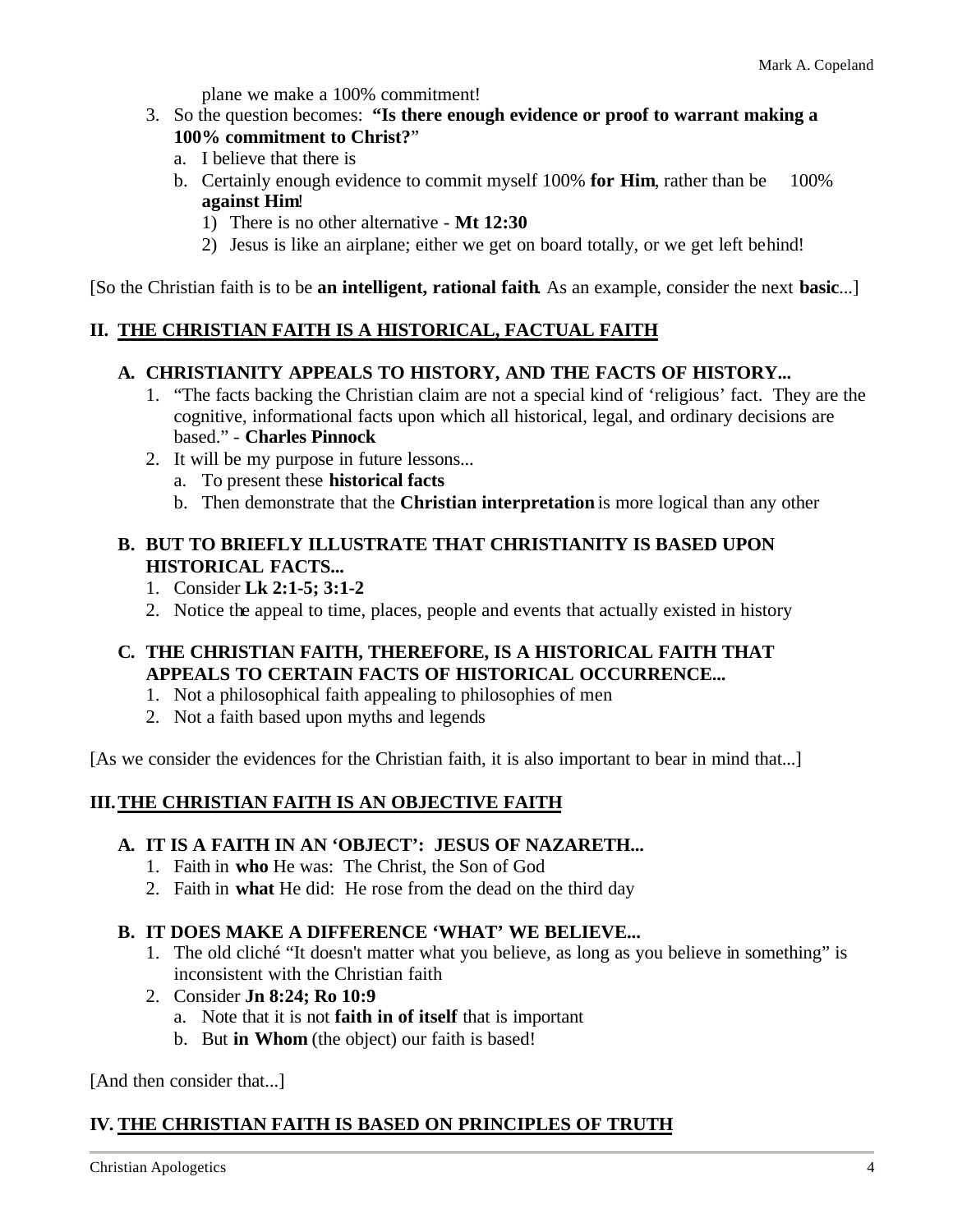plane we make a 100% commitment!

- 3. So the question becomes: **"Is there enough evidence or proof to warrant making a 100% commitment to Christ?**"
	- a. I believe that there is
	- b. Certainly enough evidence to commit myself 100% **for Him**, rather than be 100% **against Him**!
		- 1) There is no other alternative **Mt 12:30**
		- 2) Jesus is like an airplane; either we get on board totally, or we get left behind!

[So the Christian faith is to be **an intelligent, rational faith**. As an example, consider the next **basic**...]

#### **II. THE CHRISTIAN FAITH IS A HISTORICAL, FACTUAL FAITH**

#### **A. CHRISTIANITY APPEALS TO HISTORY, AND THE FACTS OF HISTORY...**

- 1. "The facts backing the Christian claim are not a special kind of 'religious' fact. They are the cognitive, informational facts upon which all historical, legal, and ordinary decisions are based." - **Charles Pinnock**
- 2. It will be my purpose in future lessons...
	- a. To present these **historical facts**
	- b. Then demonstrate that the **Christian interpretation** is more logical than any other

#### **B. BUT TO BRIEFLY ILLUSTRATE THAT CHRISTIANITY IS BASED UPON HISTORICAL FACTS...**

- 1. Consider **Lk 2:1-5; 3:1-2**
- 2. Notice the appeal to time, places, people and events that actually existed in history

#### **C. THE CHRISTIAN FAITH, THEREFORE, IS A HISTORICAL FAITH THAT APPEALS TO CERTAIN FACTS OF HISTORICAL OCCURRENCE...**

- 1. Not a philosophical faith appealing to philosophies of men
- 2. Not a faith based upon myths and legends

[As we consider the evidences for the Christian faith, it is also important to bear in mind that...]

#### **III.THE CHRISTIAN FAITH IS AN OBJECTIVE FAITH**

#### **A. IT IS A FAITH IN AN 'OBJECT': JESUS OF NAZARETH...**

- 1. Faith in **who** He was: The Christ, the Son of God
- 2. Faith in **what** He did: He rose from the dead on the third day

#### **B. IT DOES MAKE A DIFFERENCE 'WHAT' WE BELIEVE...**

- 1. The old cliché "It doesn't matter what you believe, as long as you believe in something" is inconsistent with the Christian faith
- 2. Consider **Jn 8:24; Ro 10:9**
	- a. Note that it is not **faith in of itself** that is important
	- b. But **in Whom** (the object) our faith is based!

[And then consider that...]

#### **IV. THE CHRISTIAN FAITH IS BASED ON PRINCIPLES OF TRUTH**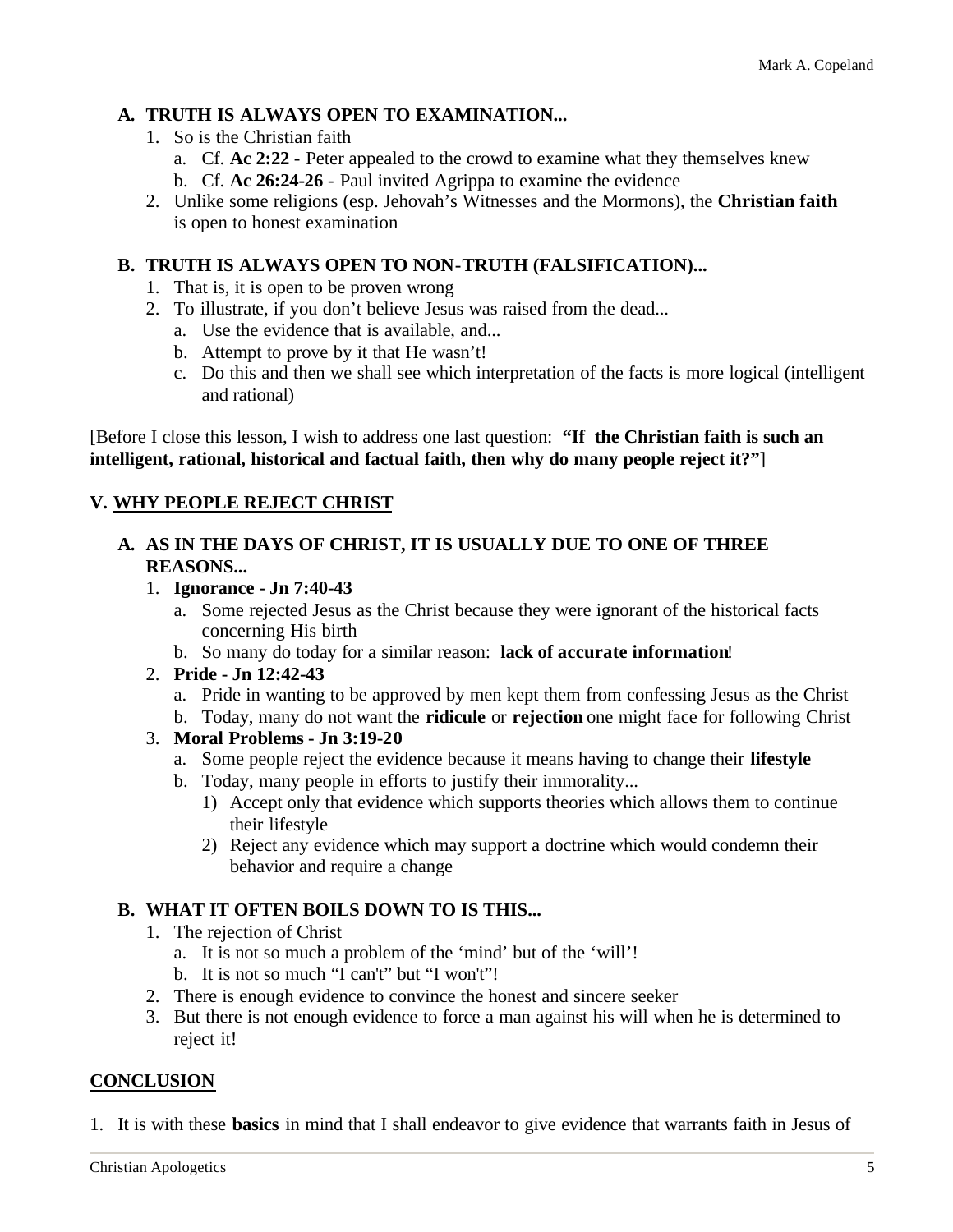#### **A. TRUTH IS ALWAYS OPEN TO EXAMINATION...**

- 1. So is the Christian faith
	- a. Cf. **Ac 2:22** Peter appealed to the crowd to examine what they themselves knew
	- b. Cf. **Ac 26:24-26** Paul invited Agrippa to examine the evidence
- 2. Unlike some religions (esp. Jehovah's Witnesses and the Mormons), the **Christian faith** is open to honest examination

#### **B. TRUTH IS ALWAYS OPEN TO NON-TRUTH (FALSIFICATION)...**

- 1. That is, it is open to be proven wrong
- 2. To illustrate, if you don't believe Jesus was raised from the dead...
	- a. Use the evidence that is available, and...
	- b. Attempt to prove by it that He wasn't!
	- c. Do this and then we shall see which interpretation of the facts is more logical (intelligent and rational)

[Before I close this lesson, I wish to address one last question: **"If the Christian faith is such an intelligent, rational, historical and factual faith, then why do many people reject it?"**]

#### **V. WHY PEOPLE REJECT CHRIST**

#### **A. AS IN THE DAYS OF CHRIST, IT IS USUALLY DUE TO ONE OF THREE REASONS...**

- 1. **Ignorance Jn 7:40-43**
	- a. Some rejected Jesus as the Christ because they were ignorant of the historical facts concerning His birth
	- b. So many do today for a similar reason: **lack of accurate information**!
- 2. **Pride Jn 12:42-43**
	- a. Pride in wanting to be approved by men kept them from confessing Jesus as the Christ
- b. Today, many do not want the **ridicule** or **rejection** one might face for following Christ
- 3. **Moral Problems Jn 3:19-20**
	- a. Some people reject the evidence because it means having to change their **lifestyle**
	- b. Today, many people in efforts to justify their immorality...
		- 1) Accept only that evidence which supports theories which allows them to continue their lifestyle
		- 2) Reject any evidence which may support a doctrine which would condemn their behavior and require a change

#### **B. WHAT IT OFTEN BOILS DOWN TO IS THIS...**

- 1. The rejection of Christ
	- a. It is not so much a problem of the 'mind' but of the 'will'!
	- b. It is not so much "I can't" but "I won't"!
- 2. There is enough evidence to convince the honest and sincere seeker
- 3. But there is not enough evidence to force a man against his will when he is determined to reject it!

#### **CONCLUSION**

1. It is with these **basics** in mind that I shall endeavor to give evidence that warrants faith in Jesus of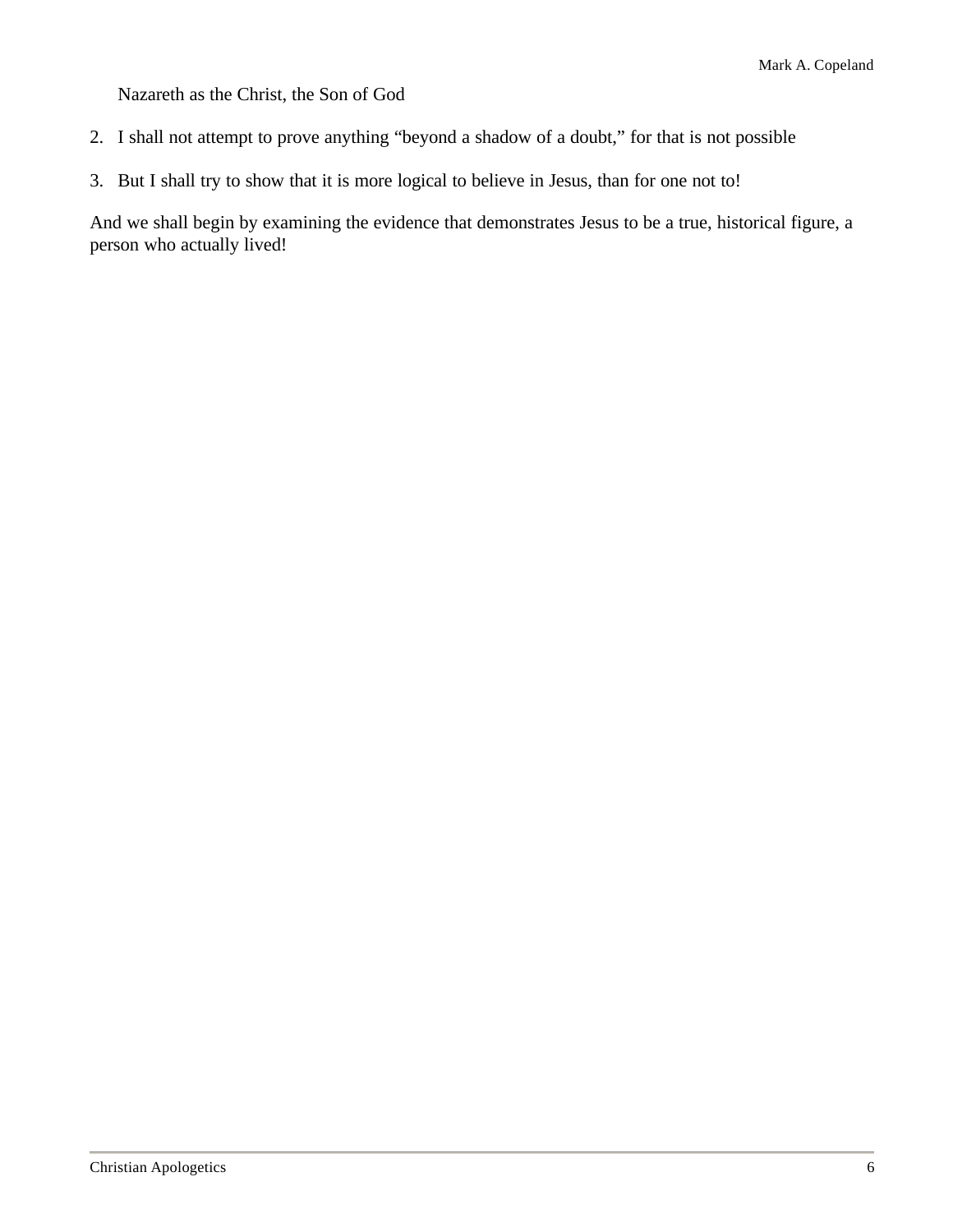Nazareth as the Christ, the Son of God

- 2. I shall not attempt to prove anything "beyond a shadow of a doubt," for that is not possible
- 3. But I shall try to show that it is more logical to believe in Jesus, than for one not to!

And we shall begin by examining the evidence that demonstrates Jesus to be a true, historical figure, a person who actually lived!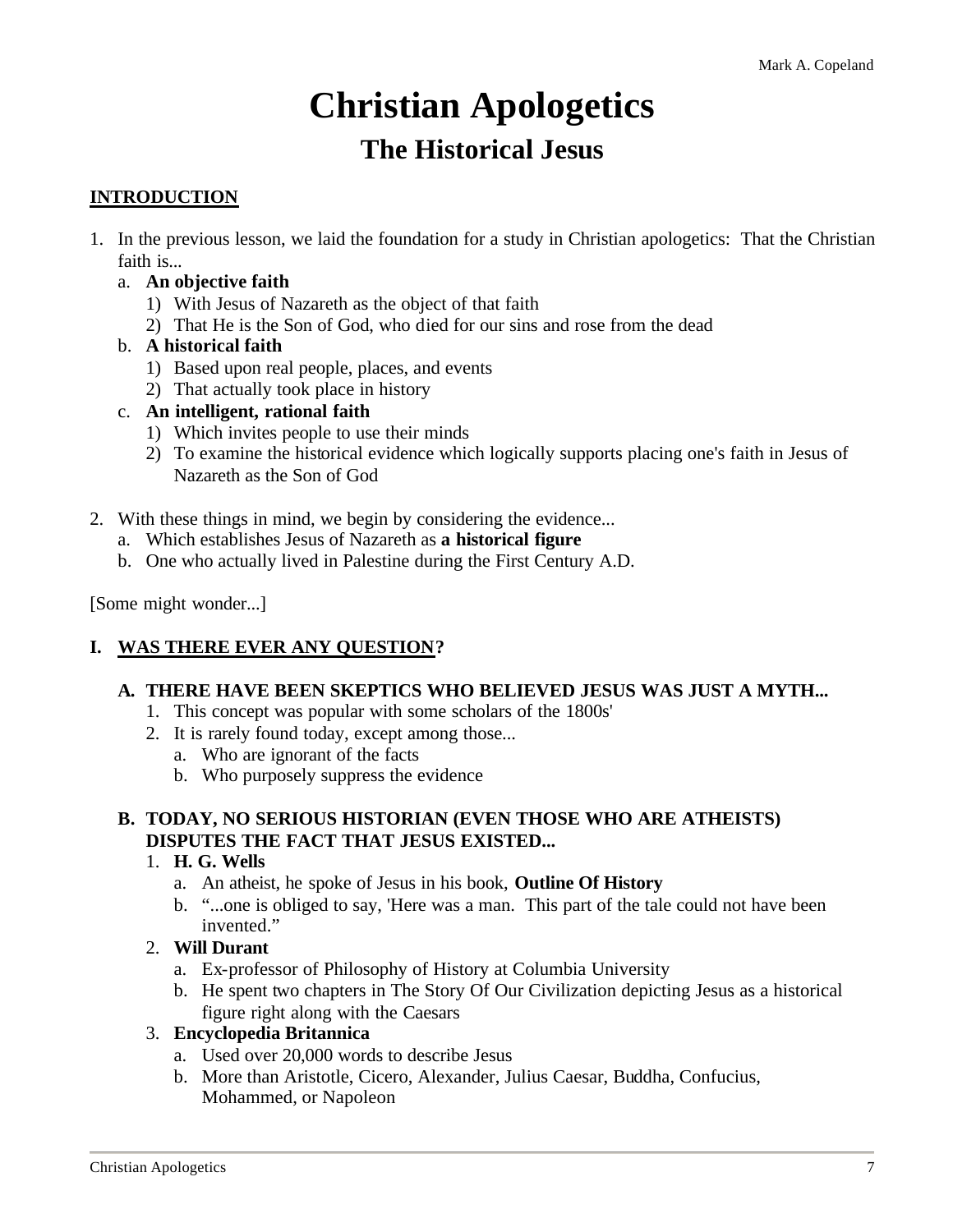# **Christian Apologetics The Historical Jesus**

#### **INTRODUCTION**

- 1. In the previous lesson, we laid the foundation for a study in Christian apologetics: That the Christian faith is...
	- a. **An objective faith**
		- 1) With Jesus of Nazareth as the object of that faith
		- 2) That He is the Son of God, who died for our sins and rose from the dead
	- b. **A historical faith**
		- 1) Based upon real people, places, and events
		- 2) That actually took place in history
	- c. **An intelligent, rational faith**
		- 1) Which invites people to use their minds
		- 2) To examine the historical evidence which logically supports placing one's faith in Jesus of Nazareth as the Son of God
- 2. With these things in mind, we begin by considering the evidence...
	- a. Which establishes Jesus of Nazareth as **a historical figure**
	- b. One who actually lived in Palestine during the First Century A.D.

[Some might wonder...]

#### **I. WAS THERE EVER ANY QUESTION?**

#### **A. THERE HAVE BEEN SKEPTICS WHO BELIEVED JESUS WAS JUST A MYTH...**

- 1. This concept was popular with some scholars of the 1800s'
- 2. It is rarely found today, except among those...
	- a. Who are ignorant of the facts
	- b. Who purposely suppress the evidence

#### **B. TODAY, NO SERIOUS HISTORIAN (EVEN THOSE WHO ARE ATHEISTS) DISPUTES THE FACT THAT JESUS EXISTED...**

- 1. **H. G. Wells**
	- a. An atheist, he spoke of Jesus in his book, **Outline Of History**
	- b. "...one is obliged to say, 'Here was a man. This part of the tale could not have been invented."

#### 2. **Will Durant**

- a. Ex-professor of Philosophy of History at Columbia University
- b. He spent two chapters in The Story Of Our Civilization depicting Jesus as a historical figure right along with the Caesars

#### 3. **Encyclopedia Britannica**

- a. Used over 20,000 words to describe Jesus
- b. More than Aristotle, Cicero, Alexander, Julius Caesar, Buddha, Confucius, Mohammed, or Napoleon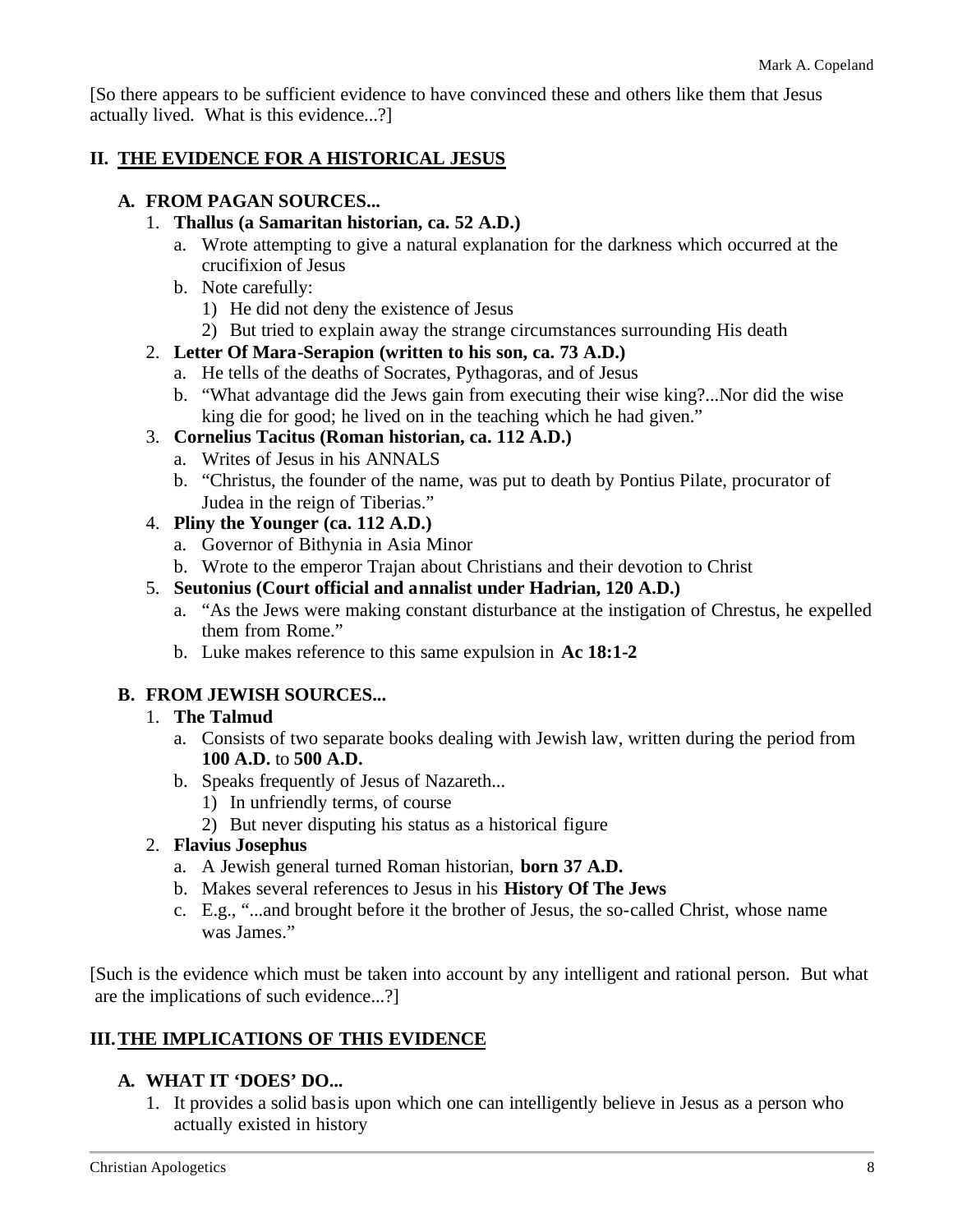[So there appears to be sufficient evidence to have convinced these and others like them that Jesus actually lived. What is this evidence...?]

#### **II. THE EVIDENCE FOR A HISTORICAL JESUS**

#### **A. FROM PAGAN SOURCES...**

- 1. **Thallus (a Samaritan historian, ca. 52 A.D.)**
	- a. Wrote attempting to give a natural explanation for the darkness which occurred at the crucifixion of Jesus
	- b. Note carefully:
		- 1) He did not deny the existence of Jesus
		- 2) But tried to explain away the strange circumstances surrounding His death
- 2. **Letter Of Mara-Serapion (written to his son, ca. 73 A.D.)**
	- a. He tells of the deaths of Socrates, Pythagoras, and of Jesus
	- b. "What advantage did the Jews gain from executing their wise king?...Nor did the wise king die for good; he lived on in the teaching which he had given."
- 3. **Cornelius Tacitus (Roman historian, ca. 112 A.D.)**
	- a. Writes of Jesus in his ANNALS
	- b. "Christus, the founder of the name, was put to death by Pontius Pilate, procurator of Judea in the reign of Tiberias."

#### 4. **Pliny the Younger (ca. 112 A.D.)**

- a. Governor of Bithynia in Asia Minor
- b. Wrote to the emperor Trajan about Christians and their devotion to Christ
- 5. **Seutonius (Court official and annalist under Hadrian, 120 A.D.)**
	- a. "As the Jews were making constant disturbance at the instigation of Chrestus, he expelled them from Rome."
	- b. Luke makes reference to this same expulsion in **Ac 18:1-2**

#### **B. FROM JEWISH SOURCES...**

- 1. **The Talmud**
	- a. Consists of two separate books dealing with Jewish law, written during the period from **100 A.D.** to **500 A.D.**
	- b. Speaks frequently of Jesus of Nazareth...
		- 1) In unfriendly terms, of course
		- 2) But never disputing his status as a historical figure
- 2. **Flavius Josephus**
	- a. A Jewish general turned Roman historian, **born 37 A.D.**
	- b. Makes several references to Jesus in his **History Of The Jews**
	- c. E.g., "...and brought before it the brother of Jesus, the so-called Christ, whose name was James."

[Such is the evidence which must be taken into account by any intelligent and rational person. But what are the implications of such evidence...?]

#### **III.THE IMPLICATIONS OF THIS EVIDENCE**

#### **A. WHAT IT 'DOES' DO...**

1. It provides a solid basis upon which one can intelligently believe in Jesus as a person who actually existed in history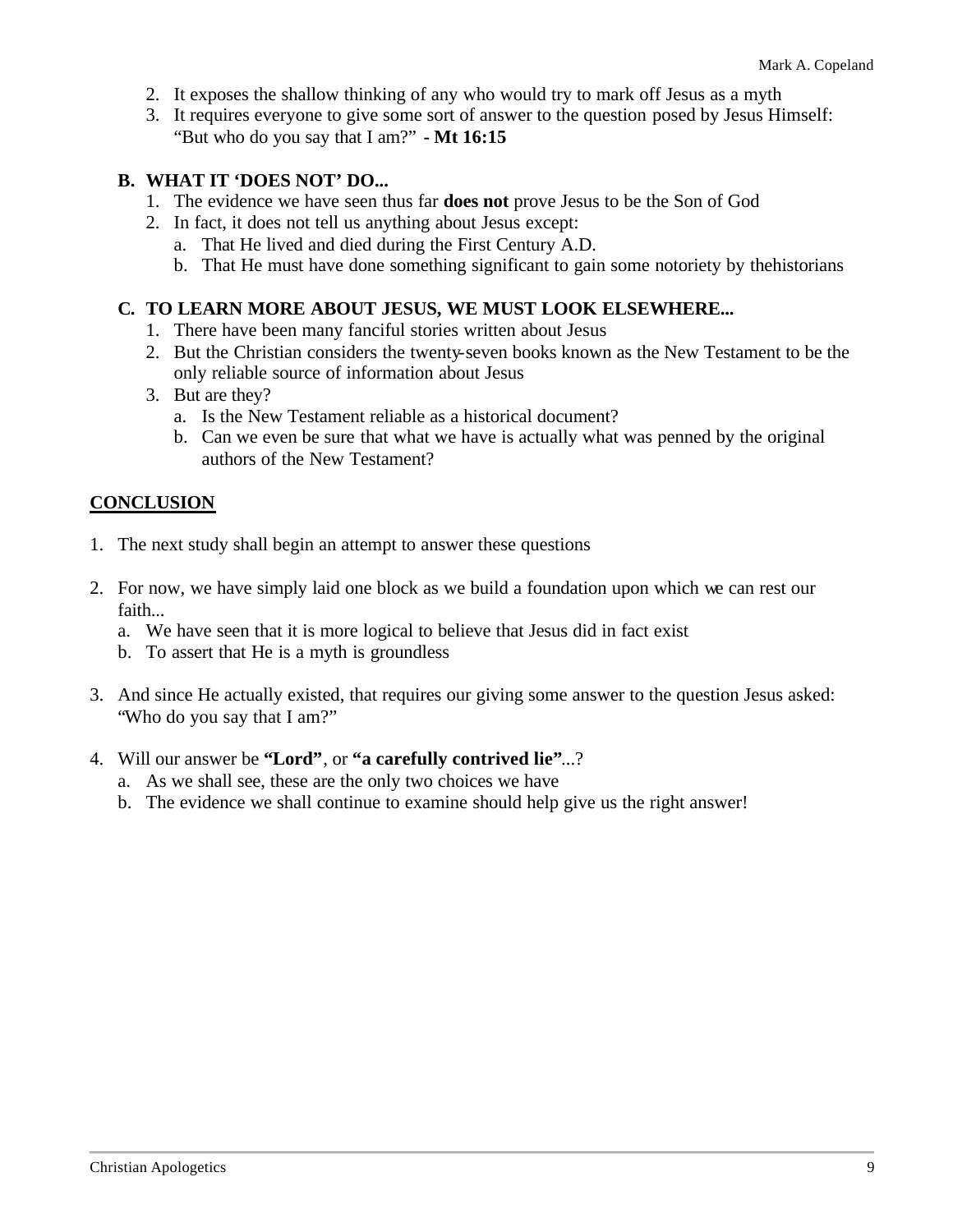- 2. It exposes the shallow thinking of any who would try to mark off Jesus as a myth
- 3. It requires everyone to give some sort of answer to the question posed by Jesus Himself: "But who do you say that I am?" **- Mt 16:15**

#### **B. WHAT IT 'DOES NOT' DO...**

- 1. The evidence we have seen thus far **does not** prove Jesus to be the Son of God
- 2. In fact, it does not tell us anything about Jesus except:
	- a. That He lived and died during the First Century A.D.
	- b. That He must have done something significant to gain some notoriety by thehistorians

#### **C. TO LEARN MORE ABOUT JESUS, WE MUST LOOK ELSEWHERE...**

- 1. There have been many fanciful stories written about Jesus
- 2. But the Christian considers the twenty-seven books known as the New Testament to be the only reliable source of information about Jesus
- 3. But are they?
	- a. Is the New Testament reliable as a historical document?
	- b. Can we even be sure that what we have is actually what was penned by the original authors of the New Testament?

#### **CONCLUSION**

- 1. The next study shall begin an attempt to answer these questions
- 2. For now, we have simply laid one block as we build a foundation upon which we can rest our faith...
	- a. We have seen that it is more logical to believe that Jesus did in fact exist
	- b. To assert that He is a myth is groundless
- 3. And since He actually existed, that requires our giving some answer to the question Jesus asked: "Who do you say that I am?"
- 4. Will our answer be **"Lord"**, or **"a carefully contrived lie"**...?
	- a. As we shall see, these are the only two choices we have
	- b. The evidence we shall continue to examine should help give us the right answer!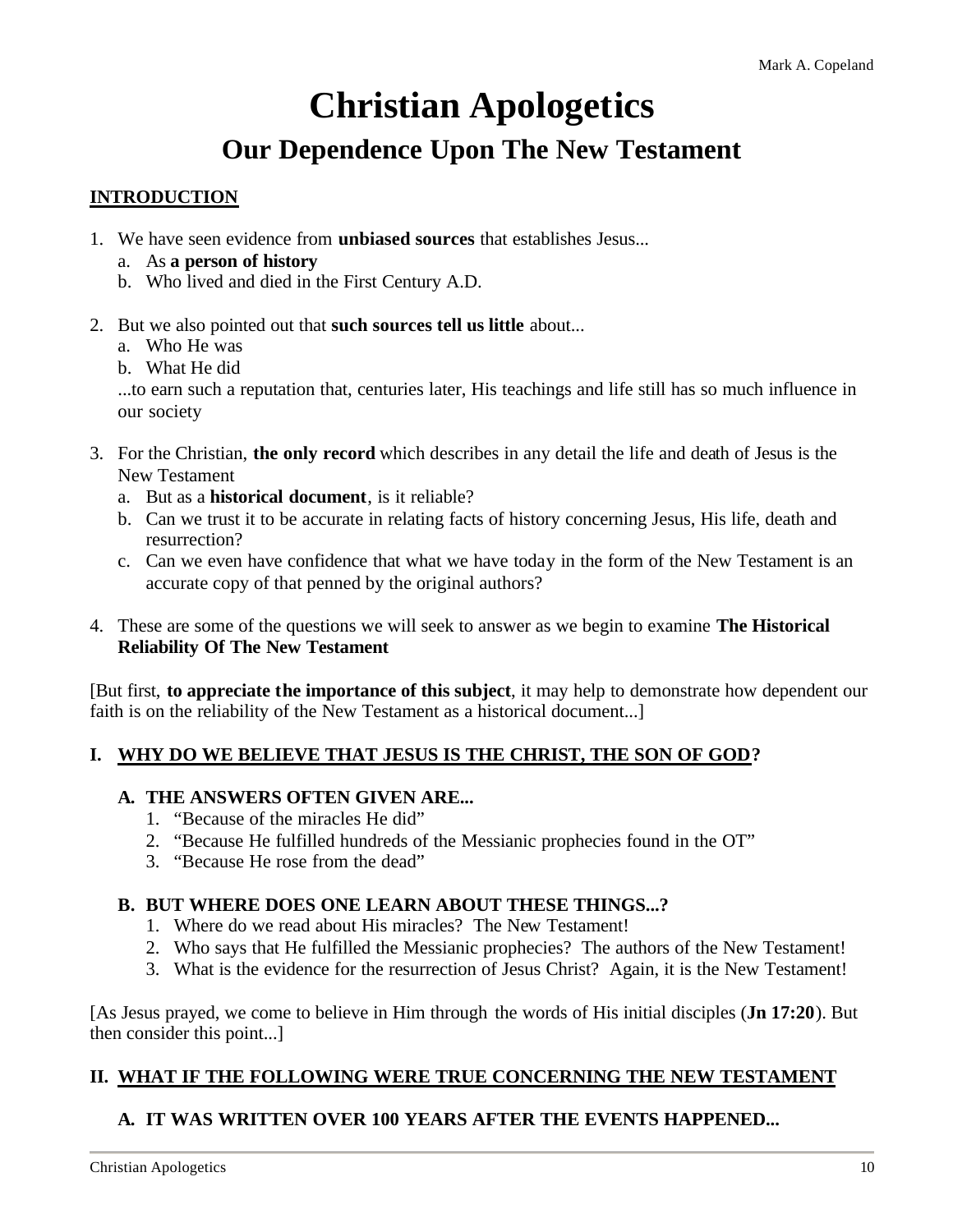### **Christian Apologetics**

### **Our Dependence Upon The New Testament**

#### **INTRODUCTION**

- 1. We have seen evidence from **unbiased sources** that establishes Jesus...
	- a. As **a person of history**
	- b. Who lived and died in the First Century A.D.
- 2. But we also pointed out that **such sources tell us little** about...
	- a. Who He was
	- b. What He did

...to earn such a reputation that, centuries later, His teachings and life still has so much influence in our society

- 3. For the Christian, **the only record** which describes in any detail the life and death of Jesus is the New Testament
	- a. But as a **historical document**, is it reliable?
	- b. Can we trust it to be accurate in relating facts of history concerning Jesus, His life, death and resurrection?
	- c. Can we even have confidence that what we have today in the form of the New Testament is an accurate copy of that penned by the original authors?
- 4. These are some of the questions we will seek to answer as we begin to examine **The Historical Reliability Of The New Testament**

[But first, **to appreciate the importance of this subject**, it may help to demonstrate how dependent our faith is on the reliability of the New Testament as a historical document...]

#### **I. WHY DO WE BELIEVE THAT JESUS IS THE CHRIST, THE SON OF GOD?**

#### **A. THE ANSWERS OFTEN GIVEN ARE...**

- 1. "Because of the miracles He did"
- 2. "Because He fulfilled hundreds of the Messianic prophecies found in the OT"
- 3. "Because He rose from the dead"

#### **B. BUT WHERE DOES ONE LEARN ABOUT THESE THINGS...?**

- 1. Where do we read about His miracles? The New Testament!
- 2. Who says that He fulfilled the Messianic prophecies? The authors of the New Testament!
- 3. What is the evidence for the resurrection of Jesus Christ? Again, it is the New Testament!

[As Jesus prayed, we come to believe in Him through the words of His initial disciples (**Jn 17:20**). But then consider this point...]

#### **II. WHAT IF THE FOLLOWING WERE TRUE CONCERNING THE NEW TESTAMENT**

#### **A. IT WAS WRITTEN OVER 100 YEARS AFTER THE EVENTS HAPPENED...**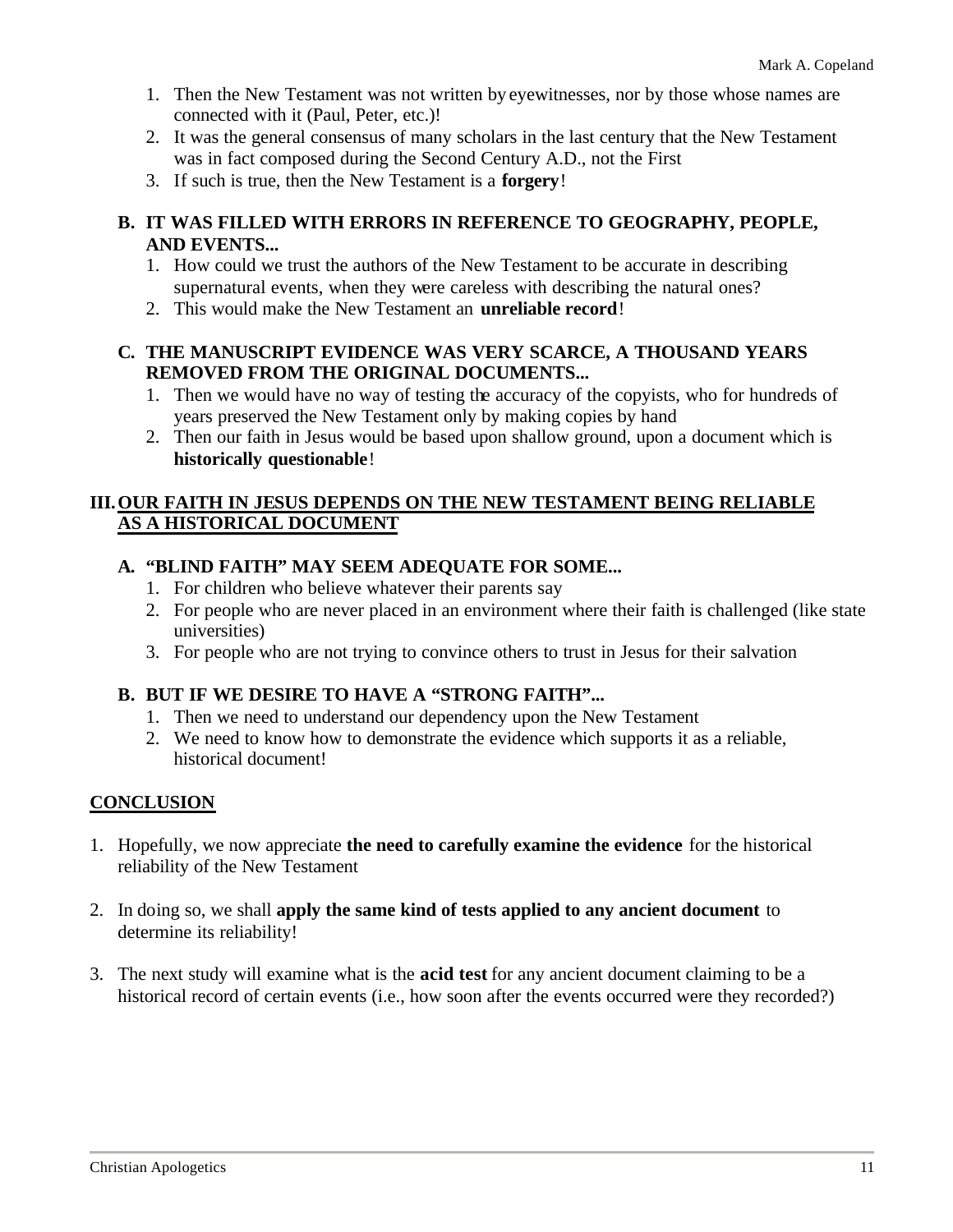- 1. Then the New Testament was not written by eyewitnesses, nor by those whose names are connected with it (Paul, Peter, etc.)!
- 2. It was the general consensus of many scholars in the last century that the New Testament was in fact composed during the Second Century A.D., not the First
- 3. If such is true, then the New Testament is a **forgery**!

#### **B. IT WAS FILLED WITH ERRORS IN REFERENCE TO GEOGRAPHY, PEOPLE, AND EVENTS...**

- 1. How could we trust the authors of the New Testament to be accurate in describing supernatural events, when they were careless with describing the natural ones?
- 2. This would make the New Testament an **unreliable record**!

#### **C. THE MANUSCRIPT EVIDENCE WAS VERY SCARCE, A THOUSAND YEARS REMOVED FROM THE ORIGINAL DOCUMENTS...**

- 1. Then we would have no way of testing the accuracy of the copyists, who for hundreds of years preserved the New Testament only by making copies by hand
- 2. Then our faith in Jesus would be based upon shallow ground, upon a document which is **historically questionable**!

#### **III.OUR FAITH IN JESUS DEPENDS ON THE NEW TESTAMENT BEING RELIABLE AS A HISTORICAL DOCUMENT**

#### **A. "BLIND FAITH" MAY SEEM ADEQUATE FOR SOME...**

- 1. For children who believe whatever their parents say
- 2. For people who are never placed in an environment where their faith is challenged (like state universities)
- 3. For people who are not trying to convince others to trust in Jesus for their salvation

#### **B. BUT IF WE DESIRE TO HAVE A "STRONG FAITH"...**

- 1. Then we need to understand our dependency upon the New Testament
- 2. We need to know how to demonstrate the evidence which supports it as a reliable, historical document!

#### **CONCLUSION**

- 1. Hopefully, we now appreciate **the need to carefully examine the evidence** for the historical reliability of the New Testament
- 2. In doing so, we shall **apply the same kind of tests applied to any ancient document** to determine its reliability!
- 3. The next study will examine what is the **acid test** for any ancient document claiming to be a historical record of certain events (i.e., how soon after the events occurred were they recorded?)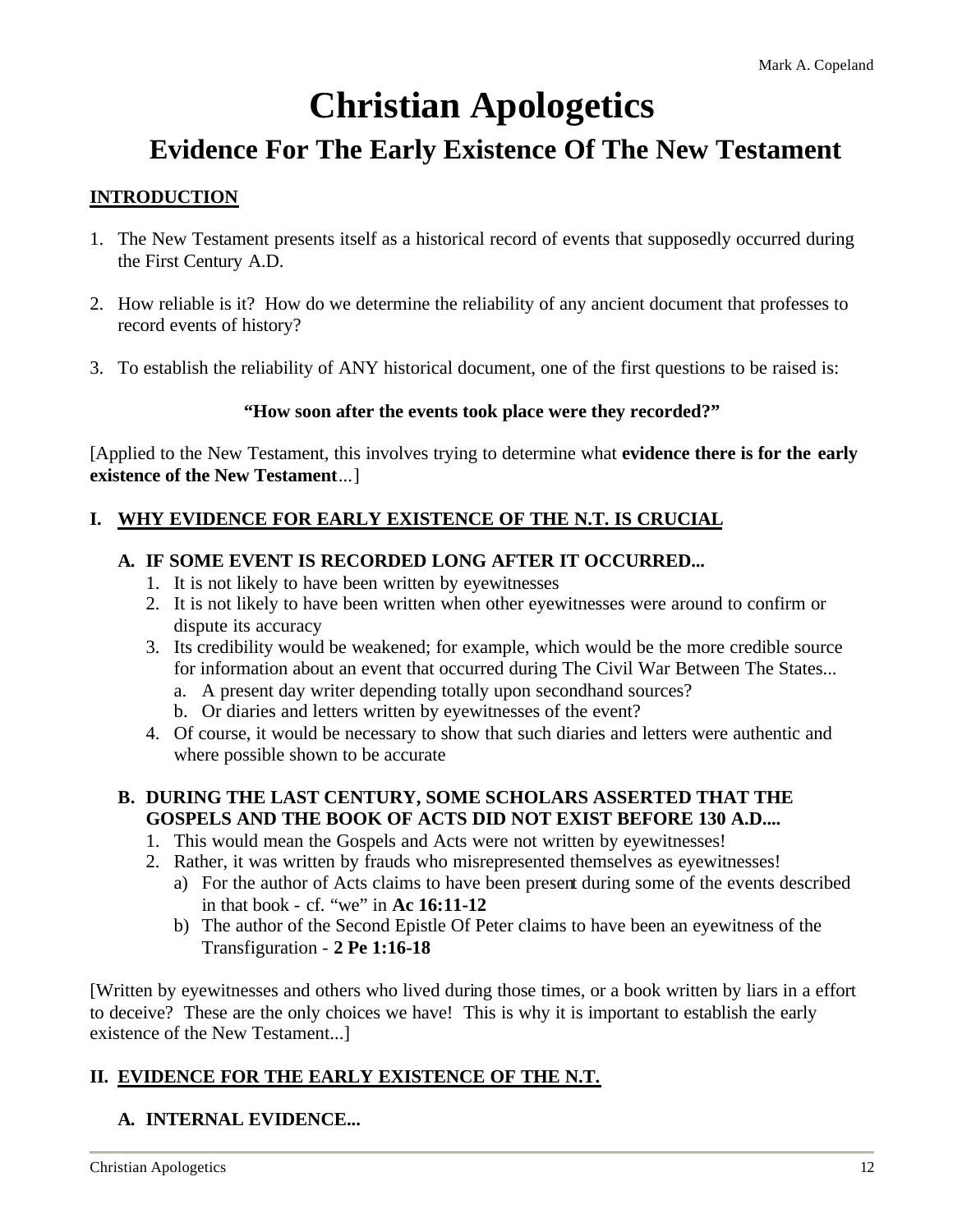# **Christian Apologetics**

### **Evidence For The Early Existence Of The New Testament**

#### **INTRODUCTION**

- 1. The New Testament presents itself as a historical record of events that supposedly occurred during the First Century A.D.
- 2. How reliable is it? How do we determine the reliability of any ancient document that professes to record events of history?
- 3. To establish the reliability of ANY historical document, one of the first questions to be raised is:

#### **"How soon after the events took place were they recorded?"**

[Applied to the New Testament, this involves trying to determine what **evidence there is for the early existence of the New Testament**...]

#### **I. WHY EVIDENCE FOR EARLY EXISTENCE OF THE N.T. IS CRUCIAL**

#### **A. IF SOME EVENT IS RECORDED LONG AFTER IT OCCURRED...**

- 1. It is not likely to have been written by eyewitnesses
- 2. It is not likely to have been written when other eyewitnesses were around to confirm or dispute its accuracy
- 3. Its credibility would be weakened; for example, which would be the more credible source for information about an event that occurred during The Civil War Between The States...
	- a. A present day writer depending totally upon secondhand sources?
	- b. Or diaries and letters written by eyewitnesses of the event?
- 4. Of course, it would be necessary to show that such diaries and letters were authentic and where possible shown to be accurate

#### **B. DURING THE LAST CENTURY, SOME SCHOLARS ASSERTED THAT THE GOSPELS AND THE BOOK OF ACTS DID NOT EXIST BEFORE 130 A.D....**

- 1. This would mean the Gospels and Acts were not written by eyewitnesses!
- 2. Rather, it was written by frauds who misrepresented themselves as eyewitnesses!
	- a) For the author of Acts claims to have been present during some of the events described in that book - cf. "we" in **Ac 16:11-12**
	- b) The author of the Second Epistle Of Peter claims to have been an eyewitness of the Transfiguration - **2 Pe 1:16-18**

[Written by eyewitnesses and others who lived during those times, or a book written by liars in a effort to deceive? These are the only choices we have! This is why it is important to establish the early existence of the New Testament...]

#### **II. EVIDENCE FOR THE EARLY EXISTENCE OF THE N.T.**

#### **A. INTERNAL EVIDENCE...**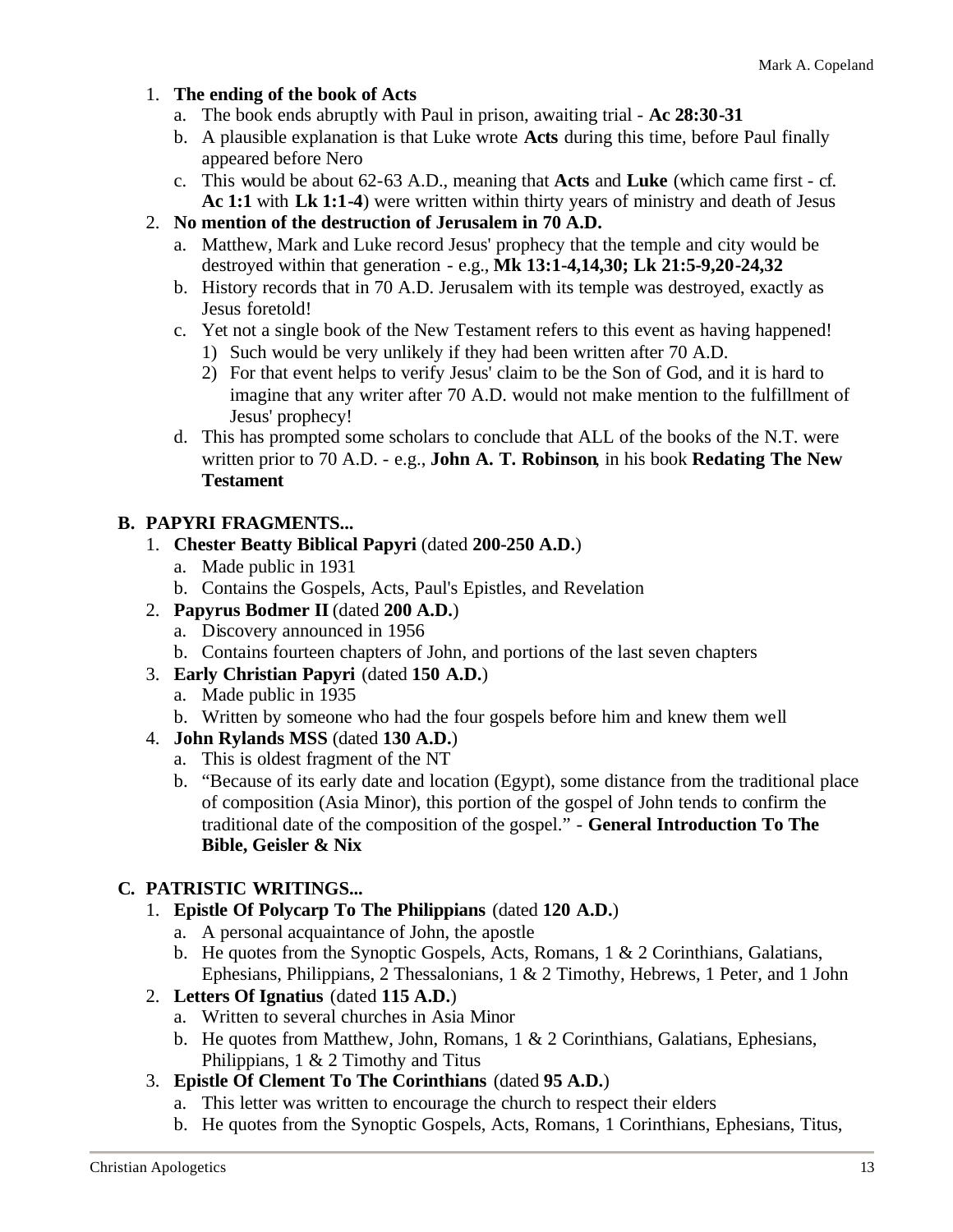#### 1. **The ending of the book of Acts**

- a. The book ends abruptly with Paul in prison, awaiting trial **Ac 28:30-31**
- b. A plausible explanation is that Luke wrote **Acts** during this time, before Paul finally appeared before Nero
- c. This would be about 62-63 A.D., meaning that **Acts** and **Luke** (which came first cf. **Ac 1:1** with **Lk 1:1-4**) were written within thirty years of ministry and death of Jesus
- 2. **No mention of the destruction of Jerusalem in 70 A.D.**
	- a. Matthew, Mark and Luke record Jesus' prophecy that the temple and city would be destroyed within that generation - e.g., **Mk 13:1-4,14,30; Lk 21:5-9,20-24,32**
	- b. History records that in 70 A.D. Jerusalem with its temple was destroyed, exactly as Jesus foretold!
	- c. Yet not a single book of the New Testament refers to this event as having happened! 1) Such would be very unlikely if they had been written after 70 A.D.
		- 2) For that event helps to verify Jesus' claim to be the Son of God, and it is hard to imagine that any writer after 70 A.D. would not make mention to the fulfillment of Jesus' prophecy!
	- d. This has prompted some scholars to conclude that ALL of the books of the N.T. were written prior to 70 A.D. - e.g., **John A. T. Robinson**, in his book **Redating The New Testament**

#### **B. PAPYRI FRAGMENTS...**

- 1. **Chester Beatty Biblical Papyri** (dated **200-250 A.D.**)
	- a. Made public in 1931
	- b. Contains the Gospels, Acts, Paul's Epistles, and Revelation
- 2. **Papyrus Bodmer II** (dated **200 A.D.**)
	- a. Discovery announced in 1956
	- b. Contains fourteen chapters of John, and portions of the last seven chapters
- 3. **Early Christian Papyri** (dated **150 A.D.**)
	- a. Made public in 1935
	- b. Written by someone who had the four gospels before him and knew them well
- 4. **John Rylands MSS** (dated **130 A.D.**)
	- a. This is oldest fragment of the NT
	- b. "Because of its early date and location (Egypt), some distance from the traditional place of composition (Asia Minor), this portion of the gospel of John tends to confirm the traditional date of the composition of the gospel." - **General Introduction To The Bible, Geisler & Nix**

#### **C. PATRISTIC WRITINGS...**

- 1. **Epistle Of Polycarp To The Philippians** (dated **120 A.D.**)
	- a. A personal acquaintance of John, the apostle
	- b. He quotes from the Synoptic Gospels, Acts, Romans, 1 & 2 Corinthians, Galatians, Ephesians, Philippians, 2 Thessalonians, 1 & 2 Timothy, Hebrews, 1 Peter, and 1 John
- 2. **Letters Of Ignatius** (dated **115 A.D.**)
	- a. Written to several churches in Asia Minor
	- b. He quotes from Matthew, John, Romans, 1 & 2 Corinthians, Galatians, Ephesians, Philippians,  $1 \& 2$  Timothy and Titus
- 3. **Epistle Of Clement To The Corinthians** (dated **95 A.D.**)
	- a. This letter was written to encourage the church to respect their elders
	- b. He quotes from the Synoptic Gospels, Acts, Romans, 1 Corinthians, Ephesians, Titus,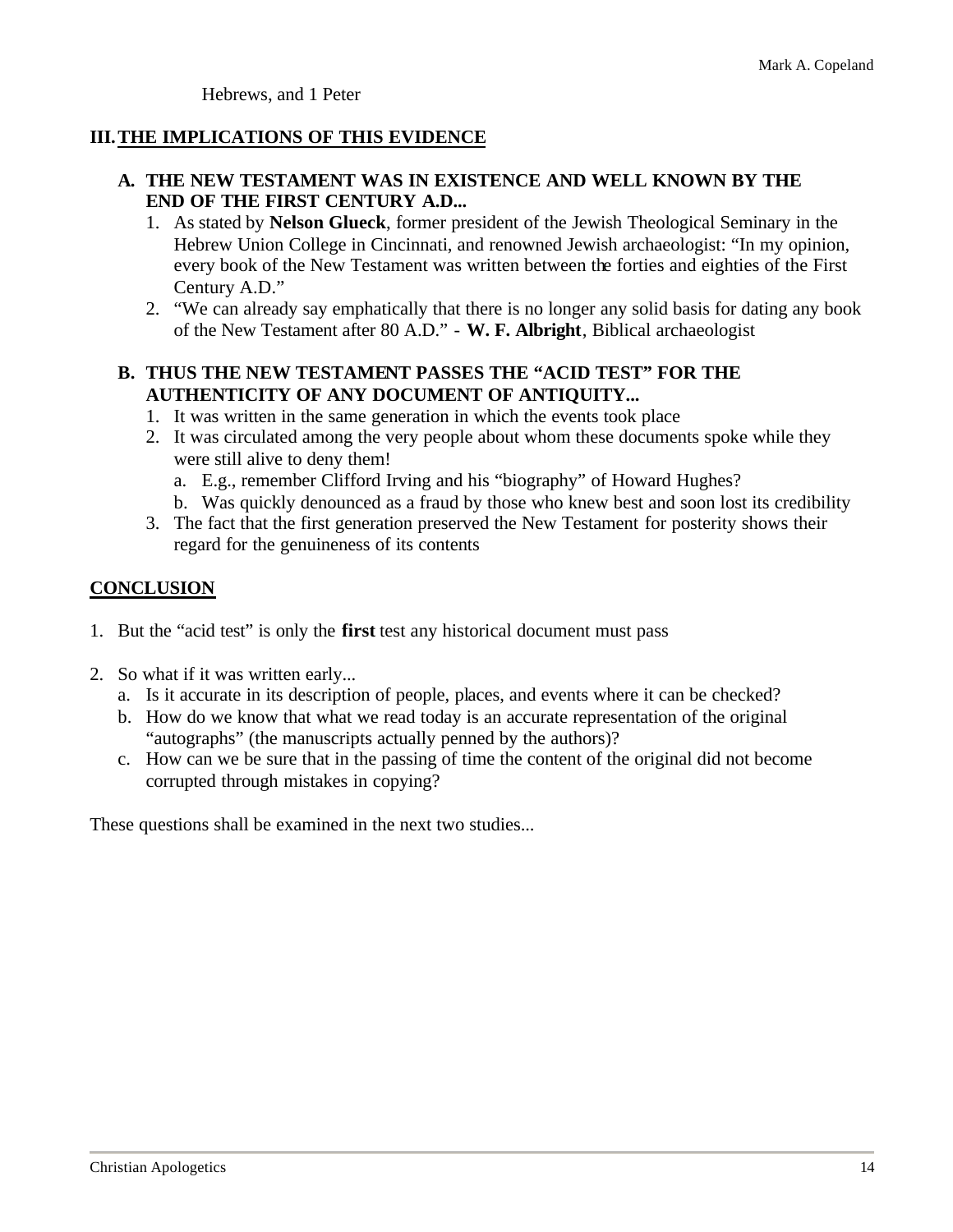Hebrews, and 1 Peter

#### **III.THE IMPLICATIONS OF THIS EVIDENCE**

#### **A. THE NEW TESTAMENT WAS IN EXISTENCE AND WELL KNOWN BY THE END OF THE FIRST CENTURY A.D...**

- 1. As stated by **Nelson Glueck**, former president of the Jewish Theological Seminary in the Hebrew Union College in Cincinnati, and renowned Jewish archaeologist: "In my opinion, every book of the New Testament was written between the forties and eighties of the First Century A.D."
- 2. "We can already say emphatically that there is no longer any solid basis for dating any book of the New Testament after 80 A.D." - **W. F. Albright**, Biblical archaeologist

#### **B. THUS THE NEW TESTAMENT PASSES THE "ACID TEST" FOR THE AUTHENTICITY OF ANY DOCUMENT OF ANTIQUITY...**

- 1. It was written in the same generation in which the events took place
- 2. It was circulated among the very people about whom these documents spoke while they were still alive to deny them!
	- a. E.g., remember Clifford Irving and his "biography" of Howard Hughes?
	- b. Was quickly denounced as a fraud by those who knew best and soon lost its credibility
- 3. The fact that the first generation preserved the New Testament for posterity shows their regard for the genuineness of its contents

#### **CONCLUSION**

- 1. But the "acid test" is only the **first** test any historical document must pass
- 2. So what if it was written early...
	- a. Is it accurate in its description of people, places, and events where it can be checked?
	- b. How do we know that what we read today is an accurate representation of the original "autographs" (the manuscripts actually penned by the authors)?
	- c. How can we be sure that in the passing of time the content of the original did not become corrupted through mistakes in copying?

These questions shall be examined in the next two studies...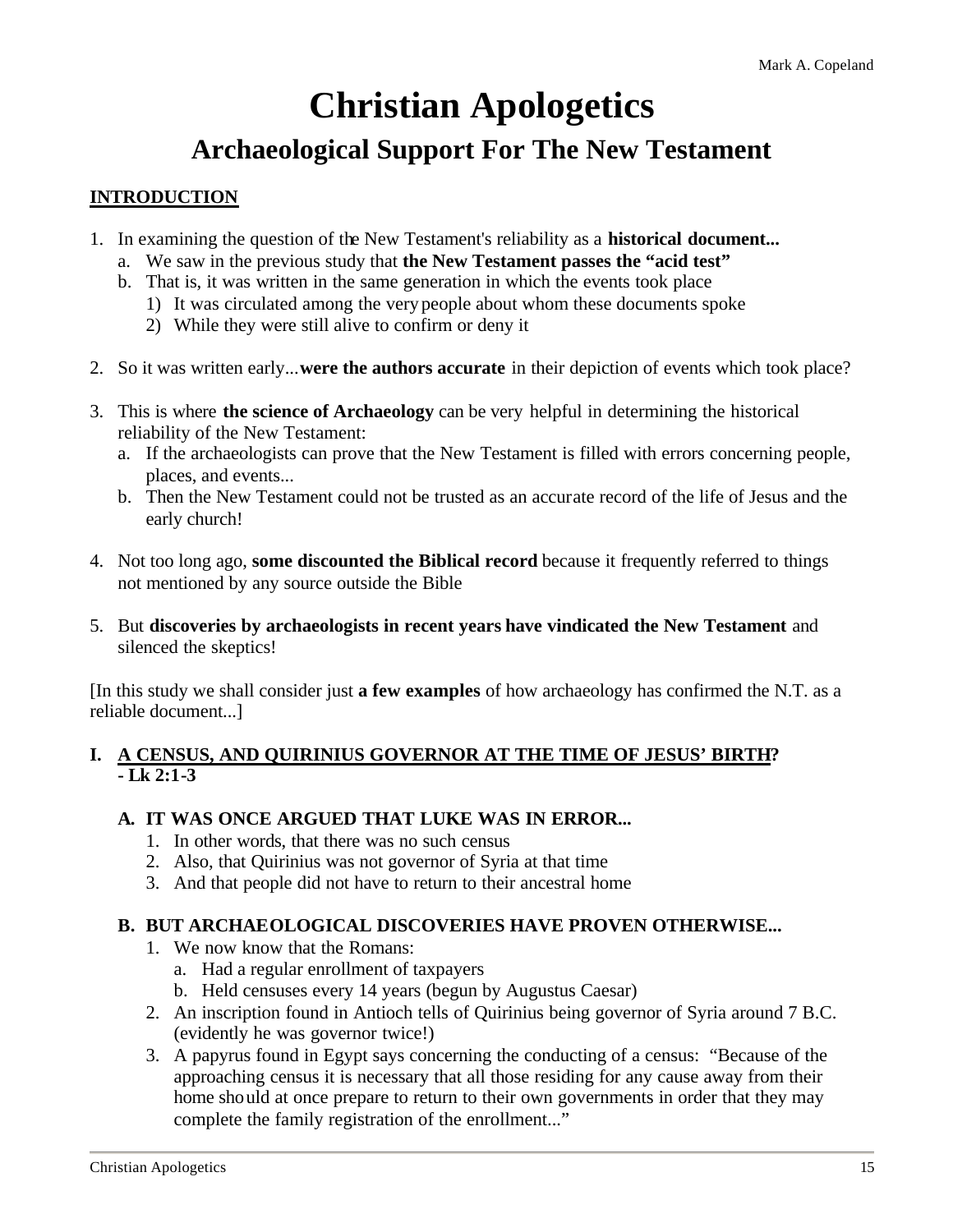### **Christian Apologetics**

### **Archaeological Support For The New Testament**

#### **INTRODUCTION**

- 1. In examining the question of the New Testament's reliability as a **historical document...**
	- a. We saw in the previous study that **the New Testament passes the "acid test"**
	- b. That is, it was written in the same generation in which the events took place
		- 1) It was circulated among the very people about whom these documents spoke
		- 2) While they were still alive to confirm or deny it
- 2. So it was written early...**were the authors accurate** in their depiction of events which took place?
- 3. This is where **the science of Archaeology** can be very helpful in determining the historical reliability of the New Testament:
	- a. If the archaeologists can prove that the New Testament is filled with errors concerning people, places, and events...
	- b. Then the New Testament could not be trusted as an accurate record of the life of Jesus and the early church!
- 4. Not too long ago, **some discounted the Biblical record** because it frequently referred to things not mentioned by any source outside the Bible
- 5. But **discoveries by archaeologists in recent years have vindicated the New Testament** and silenced the skeptics!

[In this study we shall consider just **a few examples** of how archaeology has confirmed the N.T. as a reliable document...]

#### **I. A CENSUS, AND QUIRINIUS GOVERNOR AT THE TIME OF JESUS' BIRTH? - Lk 2:1-3**

#### **A. IT WAS ONCE ARGUED THAT LUKE WAS IN ERROR...**

- 1. In other words, that there was no such census
- 2. Also, that Quirinius was not governor of Syria at that time
- 3. And that people did not have to return to their ancestral home

#### **B. BUT ARCHAEOLOGICAL DISCOVERIES HAVE PROVEN OTHERWISE...**

- 1. We now know that the Romans:
	- a. Had a regular enrollment of taxpayers
	- b. Held censuses every 14 years (begun by Augustus Caesar)
- 2. An inscription found in Antioch tells of Quirinius being governor of Syria around 7 B.C. (evidently he was governor twice!)
- 3. A papyrus found in Egypt says concerning the conducting of a census: "Because of the approaching census it is necessary that all those residing for any cause away from their home should at once prepare to return to their own governments in order that they may complete the family registration of the enrollment..."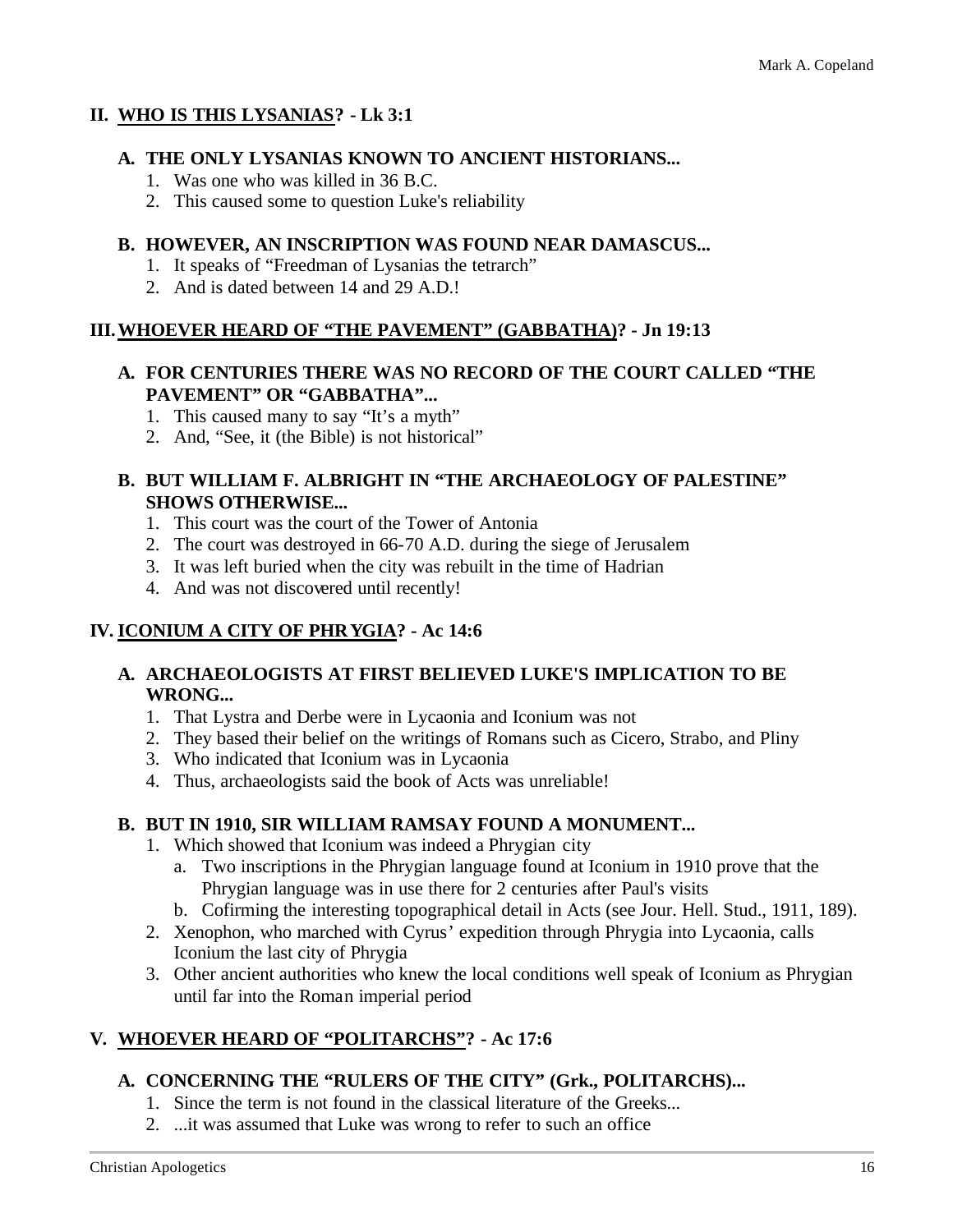#### **II. WHO IS THIS LYSANIAS? - Lk 3:1**

#### **A. THE ONLY LYSANIAS KNOWN TO ANCIENT HISTORIANS...**

- 1. Was one who was killed in 36 B.C.
- 2. This caused some to question Luke's reliability

#### **B. HOWEVER, AN INSCRIPTION WAS FOUND NEAR DAMASCUS...**

- 1. It speaks of "Freedman of Lysanias the tetrarch"
- 2. And is dated between 14 and 29 A.D.!

#### **III.WHOEVER HEARD OF "THE PAVEMENT" (GABBATHA)? - Jn 19:13**

#### **A. FOR CENTURIES THERE WAS NO RECORD OF THE COURT CALLED "THE PAVEMENT" OR "GABBATHA"...**

- 1. This caused many to say "It's a myth"
- 2. And, "See, it (the Bible) is not historical"

#### **B. BUT WILLIAM F. ALBRIGHT IN "THE ARCHAEOLOGY OF PALESTINE" SHOWS OTHERWISE...**

- 1. This court was the court of the Tower of Antonia
- 2. The court was destroyed in 66-70 A.D. during the siege of Jerusalem
- 3. It was left buried when the city was rebuilt in the time of Hadrian
- 4. And was not discovered until recently!

#### **IV. ICONIUM A CITY OF PHRYGIA? - Ac 14:6**

#### **A. ARCHAEOLOGISTS AT FIRST BELIEVED LUKE'S IMPLICATION TO BE WRONG...**

- 1. That Lystra and Derbe were in Lycaonia and Iconium was not
- 2. They based their belief on the writings of Romans such as Cicero, Strabo, and Pliny
- 3. Who indicated that Iconium was in Lycaonia
- 4. Thus, archaeologists said the book of Acts was unreliable!

#### **B. BUT IN 1910, SIR WILLIAM RAMSAY FOUND A MONUMENT...**

- 1. Which showed that Iconium was indeed a Phrygian city
	- a. Two inscriptions in the Phrygian language found at Iconium in 1910 prove that the Phrygian language was in use there for 2 centuries after Paul's visits
	- b. Cofirming the interesting topographical detail in Acts (see Jour. Hell. Stud., 1911, 189).
- 2. Xenophon, who marched with Cyrus' expedition through Phrygia into Lycaonia, calls Iconium the last city of Phrygia
- 3. Other ancient authorities who knew the local conditions well speak of Iconium as Phrygian until far into the Roman imperial period

#### **V. WHOEVER HEARD OF "POLITARCHS"? - Ac 17:6**

#### **A. CONCERNING THE "RULERS OF THE CITY" (Grk., POLITARCHS)...**

- 1. Since the term is not found in the classical literature of the Greeks...
- 2. ...it was assumed that Luke was wrong to refer to such an office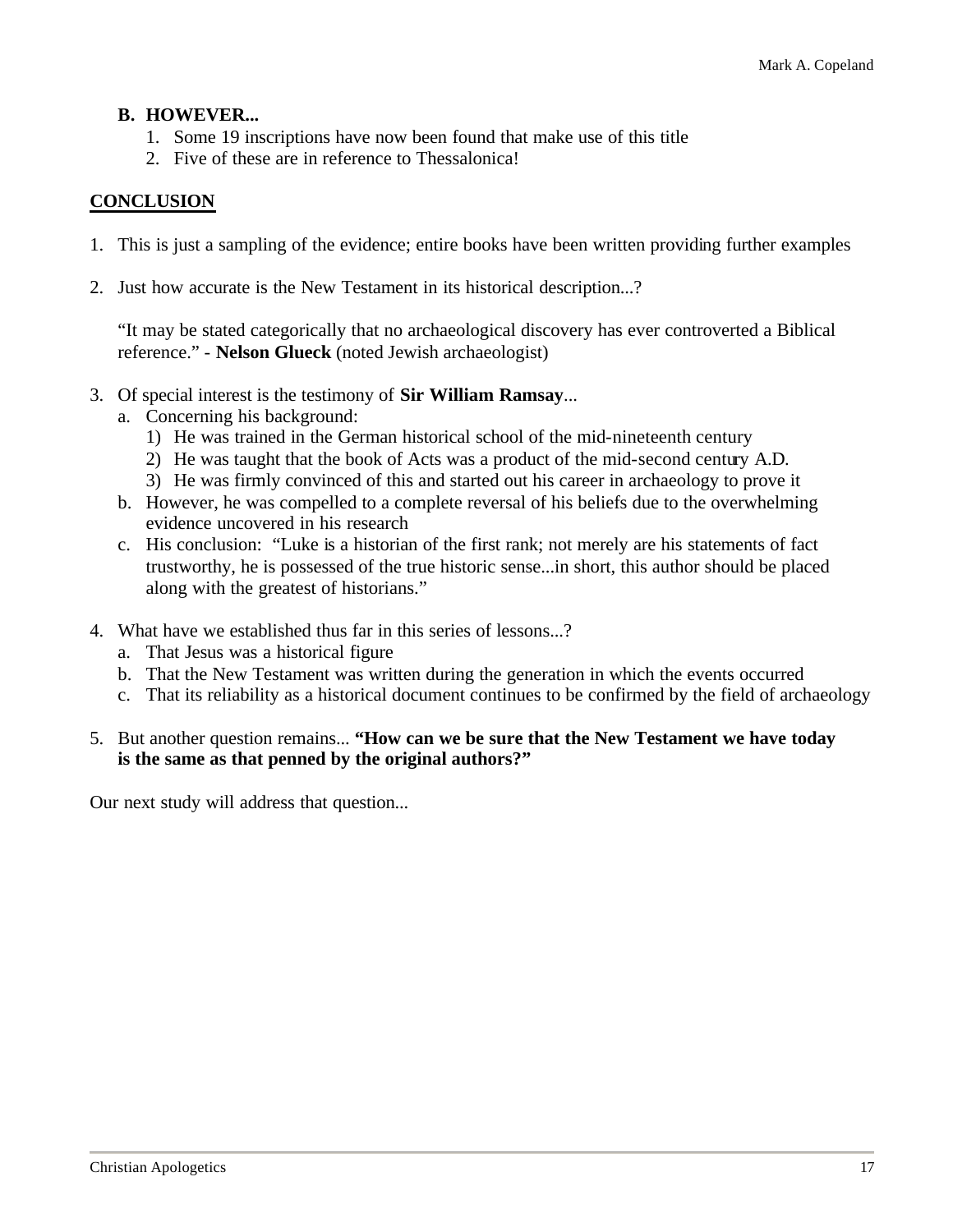#### **B. HOWEVER...**

- 1. Some 19 inscriptions have now been found that make use of this title
- 2. Five of these are in reference to Thessalonica!

#### **CONCLUSION**

- 1. This is just a sampling of the evidence; entire books have been written providing further examples
- 2. Just how accurate is the New Testament in its historical description...?

"It may be stated categorically that no archaeological discovery has ever controverted a Biblical reference." - **Nelson Glueck** (noted Jewish archaeologist)

- 3. Of special interest is the testimony of **Sir William Ramsay**...
	- a. Concerning his background:
		- 1) He was trained in the German historical school of the mid-nineteenth century
		- 2) He was taught that the book of Acts was a product of the mid-second century A.D.
		- 3) He was firmly convinced of this and started out his career in archaeology to prove it
	- b. However, he was compelled to a complete reversal of his beliefs due to the overwhelming evidence uncovered in his research
	- c. His conclusion: "Luke is a historian of the first rank; not merely are his statements of fact trustworthy, he is possessed of the true historic sense...in short, this author should be placed along with the greatest of historians."
- 4. What have we established thus far in this series of lessons...?
	- a. That Jesus was a historical figure
	- b. That the New Testament was written during the generation in which the events occurred
	- c. That its reliability as a historical document continues to be confirmed by the field of archaeology

#### 5. But another question remains... **"How can we be sure that the New Testament we have today is the same as that penned by the original authors?"**

Our next study will address that question...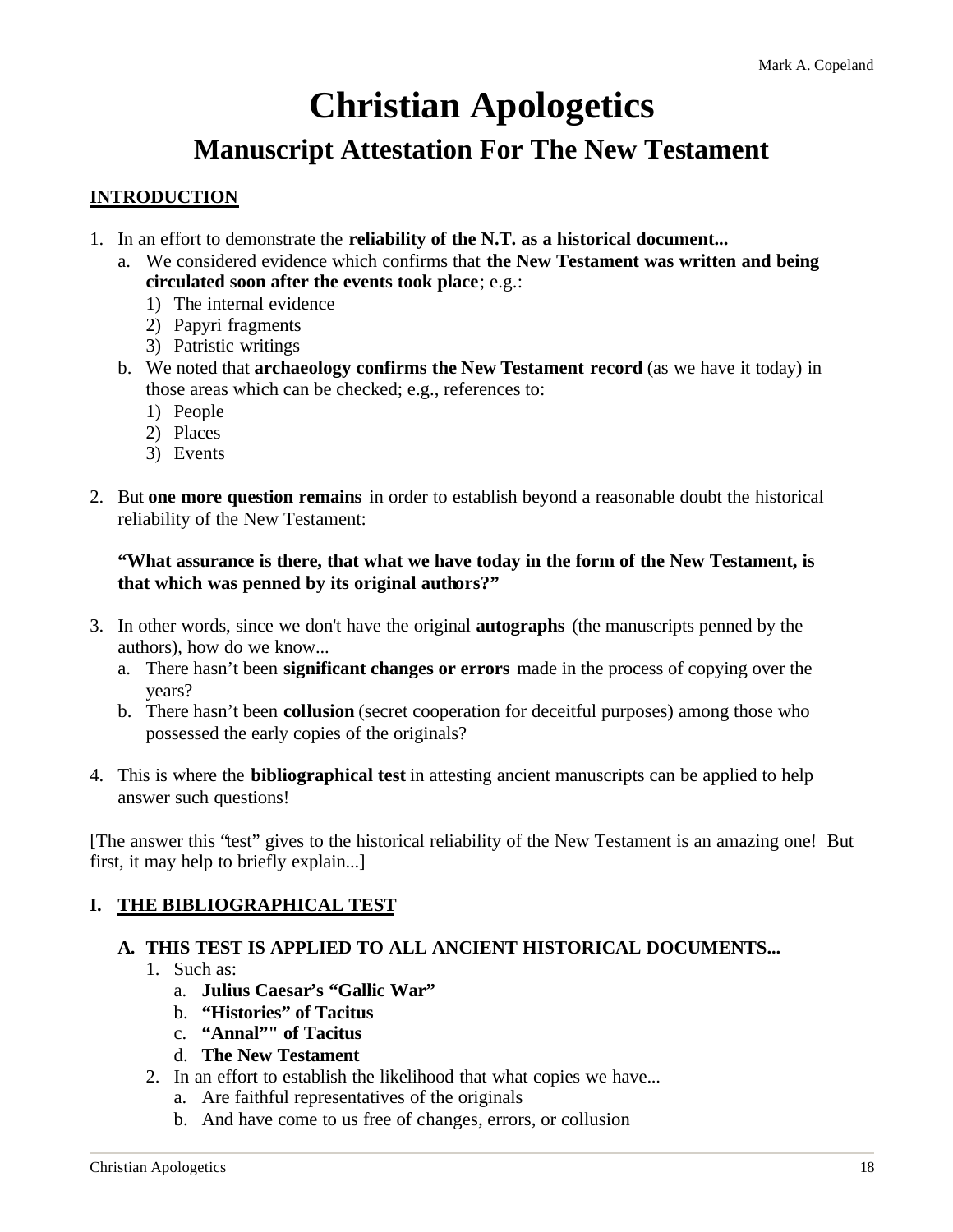# **Christian Apologetics**

### **Manuscript Attestation For The New Testament**

#### **INTRODUCTION**

- 1. In an effort to demonstrate the **reliability of the N.T. as a historical document...**
	- a. We considered evidence which confirms that **the New Testament was written and being circulated soon after the events took place**; e.g.:
		- 1) The internal evidence
		- 2) Papyri fragments
		- 3) Patristic writings
	- b. We noted that **archaeology confirms the New Testament record** (as we have it today) in those areas which can be checked; e.g., references to:
		- 1) People
		- 2) Places
		- 3) Events
- 2. But **one more question remains** in order to establish beyond a reasonable doubt the historical reliability of the New Testament:

#### **"What assurance is there, that what we have today in the form of the New Testament, is that which was penned by its original authors?"**

- 3. In other words, since we don't have the original **autographs** (the manuscripts penned by the authors), how do we know...
	- a. There hasn't been **significant changes or errors** made in the process of copying over the years?
	- b. There hasn't been **collusion** (secret cooperation for deceitful purposes) among those who possessed the early copies of the originals?
- 4. This is where the **bibliographical test** in attesting ancient manuscripts can be applied to help answer such questions!

[The answer this "test" gives to the historical reliability of the New Testament is an amazing one! But first, it may help to briefly explain...]

#### **I. THE BIBLIOGRAPHICAL TEST**

#### **A. THIS TEST IS APPLIED TO ALL ANCIENT HISTORICAL DOCUMENTS...**

- 1. Such as:
	- a. **Julius Caesar's "Gallic War"**
	- b. **"Histories" of Tacitus**
	- c. **"Annal"" of Tacitus**
	- d. **The New Testament**
- 2. In an effort to establish the likelihood that what copies we have...
	- a. Are faithful representatives of the originals
	- b. And have come to us free of changes, errors, or collusion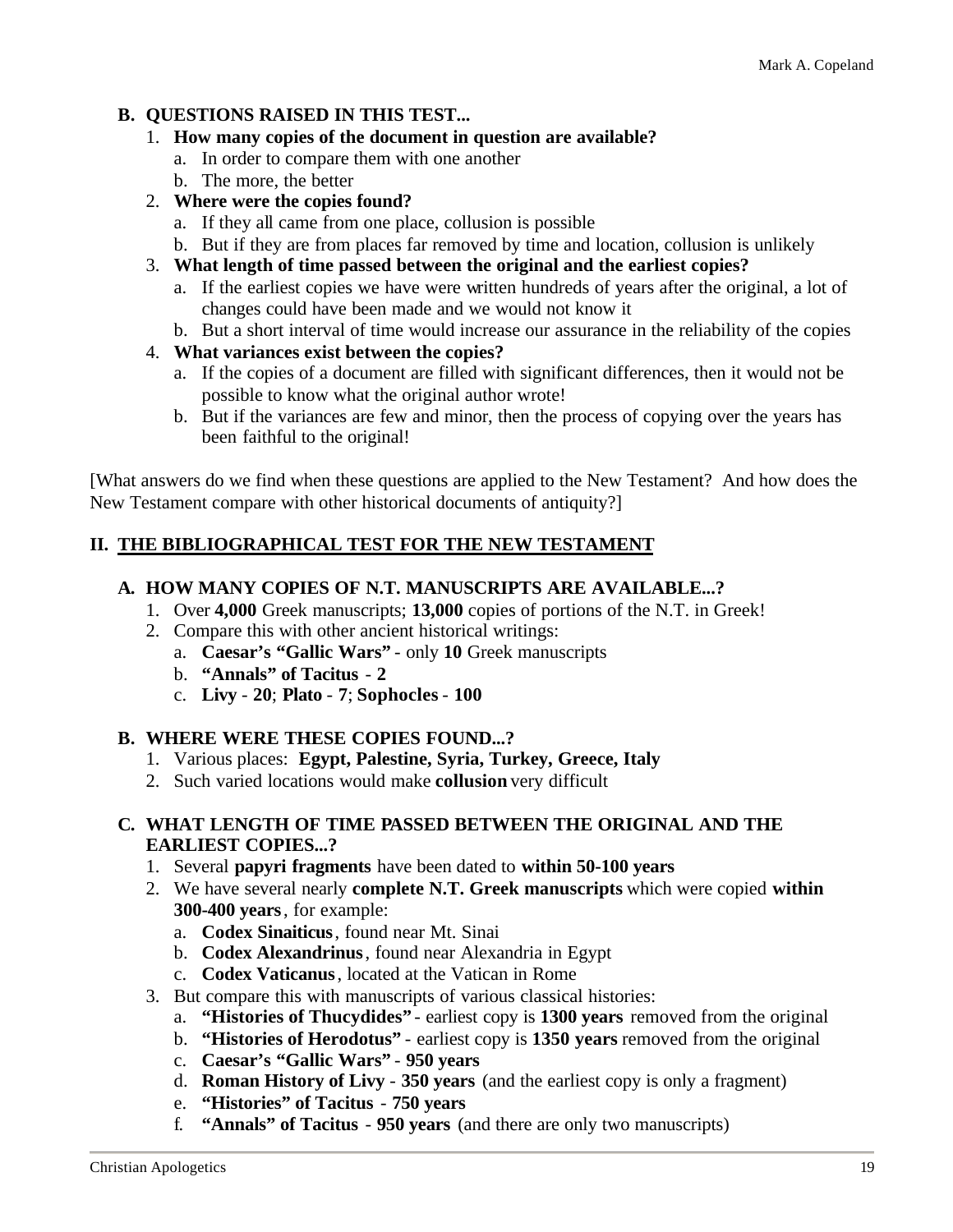#### **B. QUESTIONS RAISED IN THIS TEST...**

- 1. **How many copies of the document in question are available?**
	- a. In order to compare them with one another
	- b. The more, the better
- 2. **Where were the copies found?**
	- a. If they all came from one place, collusion is possible
	- b. But if they are from places far removed by time and location, collusion is unlikely
- 3. **What length of time passed between the original and the earliest copies?**
	- a. If the earliest copies we have were written hundreds of years after the original, a lot of changes could have been made and we would not know it
	- b. But a short interval of time would increase our assurance in the reliability of the copies

#### 4. **What variances exist between the copies?**

- a. If the copies of a document are filled with significant differences, then it would not be possible to know what the original author wrote!
- b. But if the variances are few and minor, then the process of copying over the years has been faithful to the original!

[What answers do we find when these questions are applied to the New Testament? And how does the New Testament compare with other historical documents of antiquity?]

#### **II. THE BIBLIOGRAPHICAL TEST FOR THE NEW TESTAMENT**

#### **A. HOW MANY COPIES OF N.T. MANUSCRIPTS ARE AVAILABLE...?**

- 1. Over **4,000** Greek manuscripts; **13,000** copies of portions of the N.T. in Greek!
- 2. Compare this with other ancient historical writings:
	- a. **Caesar's "Gallic Wars"** only **10** Greek manuscripts
	- b. **"Annals" of Tacitus 2**
	- c. **Livy 20**; **Plato 7**; **Sophocles 100**

#### **B. WHERE WERE THESE COPIES FOUND...?**

- 1. Various places: **Egypt, Palestine, Syria, Turkey, Greece, Italy**
- 2. Such varied locations would make **collusion** very difficult

#### **C. WHAT LENGTH OF TIME PASSED BETWEEN THE ORIGINAL AND THE EARLIEST COPIES...?**

- 1. Several **papyri fragments** have been dated to **within 50-100 years**
- 2. We have several nearly **complete N.T. Greek manuscripts** which were copied **within 300-400 years**, for example:
	- a. **Codex Sinaiticus**, found near Mt. Sinai
	- b. **Codex Alexandrinus**, found near Alexandria in Egypt
	- c. **Codex Vaticanus**, located at the Vatican in Rome
- 3. But compare this with manuscripts of various classical histories:
	- a. **"Histories of Thucydides"** earliest copy is **1300 years** removed from the original
	- b. **"Histories of Herodotus"** earliest copy is **1350 years** removed from the original
	- c. **Caesar's "Gallic Wars" 950 years**
	- d. **Roman History of Livy 350 years** (and the earliest copy is only a fragment)
	- e. **"Histories" of Tacitus 750 years**
	- f. **"Annals" of Tacitus 950 years** (and there are only two manuscripts)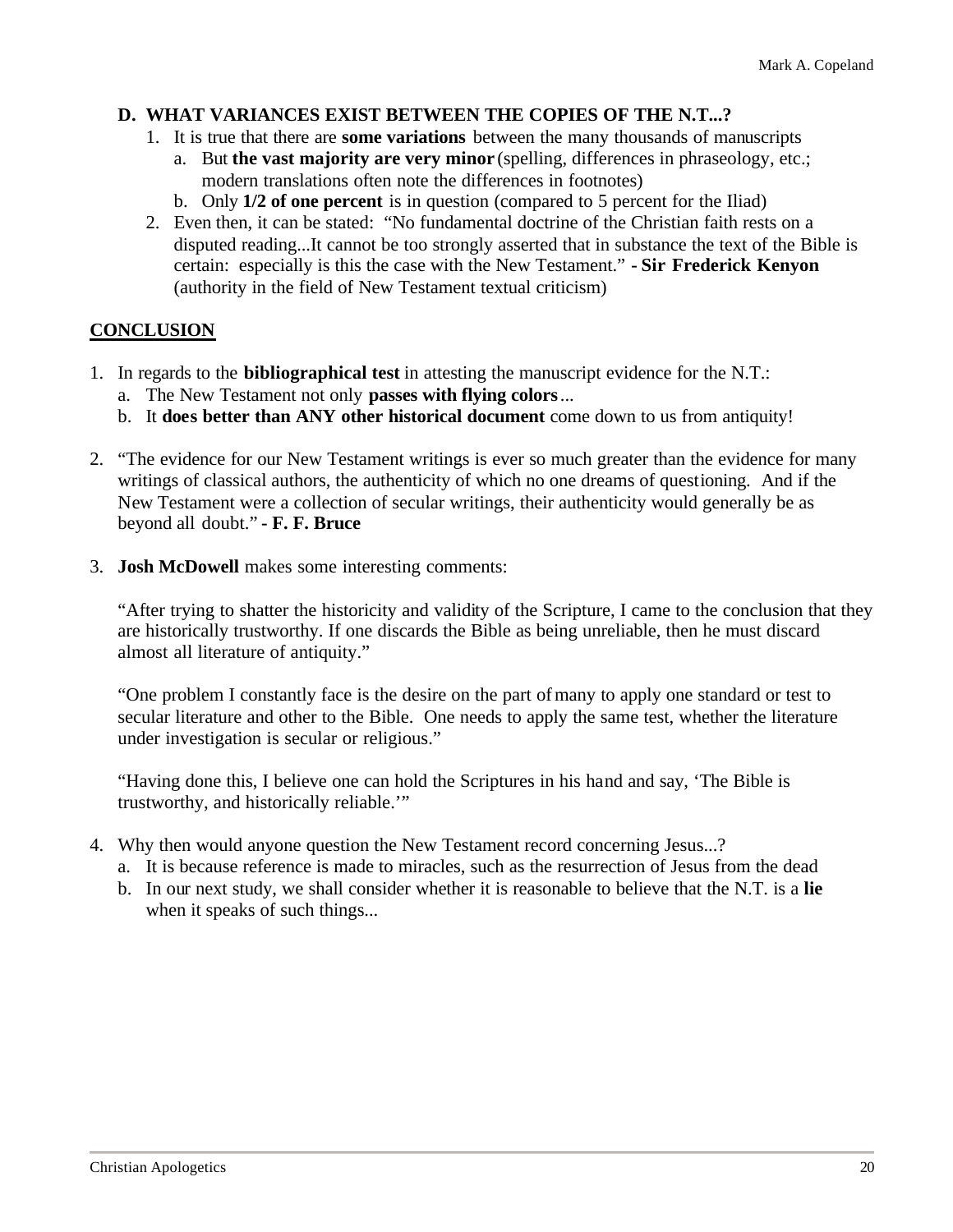#### **D. WHAT VARIANCES EXIST BETWEEN THE COPIES OF THE N.T...?**

- 1. It is true that there are **some variations** between the many thousands of manuscripts
	- a. But **the vast majority are very minor** (spelling, differences in phraseology, etc.; modern translations often note the differences in footnotes)
	- b. Only **1/2 of one percent** is in question (compared to 5 percent for the Iliad)
- 2. Even then, it can be stated: "No fundamental doctrine of the Christian faith rests on a disputed reading...It cannot be too strongly asserted that in substance the text of the Bible is certain: especially is this the case with the New Testament." **- Sir Frederick Kenyon** (authority in the field of New Testament textual criticism)

#### **CONCLUSION**

- 1. In regards to the **bibliographical test** in attesting the manuscript evidence for the N.T.:
	- a. The New Testament not only **passes with flying colors**...
	- b. It **does better than ANY other historical document** come down to us from antiquity!
- 2. "The evidence for our New Testament writings is ever so much greater than the evidence for many writings of classical authors, the authenticity of which no one dreams of questioning. And if the New Testament were a collection of secular writings, their authenticity would generally be as beyond all doubt." **- F. F. Bruce**
- 3. **Josh McDowell** makes some interesting comments:

"After trying to shatter the historicity and validity of the Scripture, I came to the conclusion that they are historically trustworthy. If one discards the Bible as being unreliable, then he must discard almost all literature of antiquity."

"One problem I constantly face is the desire on the part of many to apply one standard or test to secular literature and other to the Bible. One needs to apply the same test, whether the literature under investigation is secular or religious."

"Having done this, I believe one can hold the Scriptures in his hand and say, 'The Bible is trustworthy, and historically reliable.'"

- 4. Why then would anyone question the New Testament record concerning Jesus...?
	- a. It is because reference is made to miracles, such as the resurrection of Jesus from the dead
	- b. In our next study, we shall consider whether it is reasonable to believe that the N.T. is a **lie** when it speaks of such things...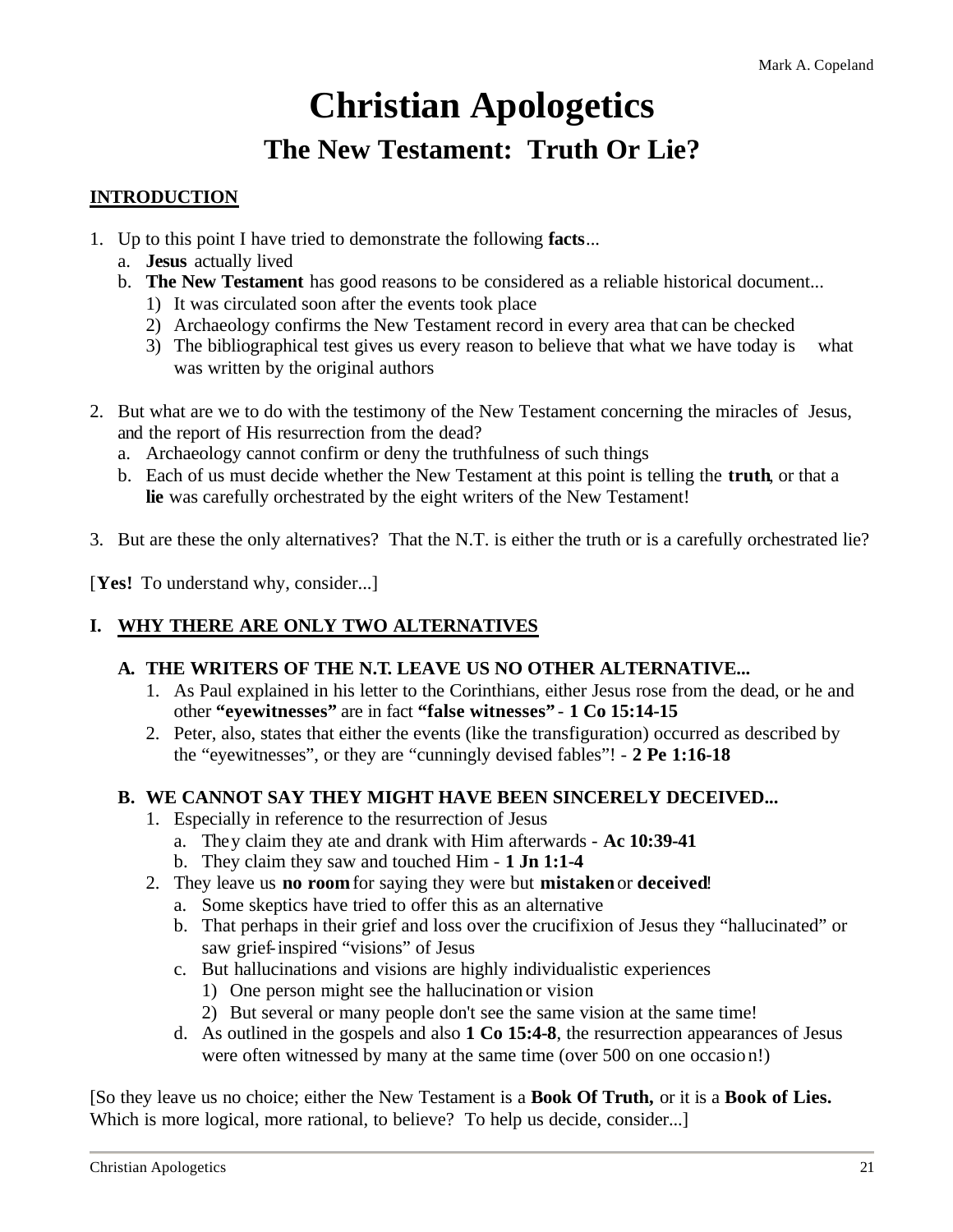### **Christian Apologetics The New Testament: Truth Or Lie?**

#### **INTRODUCTION**

- 1. Up to this point I have tried to demonstrate the following **facts**...
	- a. **Jesus** actually lived
	- b. **The New Testament** has good reasons to be considered as a reliable historical document...
		- 1) It was circulated soon after the events took place
		- 2) Archaeology confirms the New Testament record in every area that can be checked
		- 3) The bibliographical test gives us every reason to believe that what we have today is what was written by the original authors
- 2. But what are we to do with the testimony of the New Testament concerning the miracles of Jesus, and the report of His resurrection from the dead?
	- a. Archaeology cannot confirm or deny the truthfulness of such things
	- b. Each of us must decide whether the New Testament at this point is telling the **truth**, or that a **lie** was carefully orchestrated by the eight writers of the New Testament!
- 3. But are these the only alternatives? That the N.T. is either the truth or is a carefully orchestrated lie?

[Yes! To understand why, consider...]

#### **I. WHY THERE ARE ONLY TWO ALTERNATIVES**

#### **A. THE WRITERS OF THE N.T. LEAVE US NO OTHER ALTERNATIVE...**

- 1. As Paul explained in his letter to the Corinthians, either Jesus rose from the dead, or he and other **"eyewitnesses"** are in fact **"false witnesses"** - **1 Co 15:14-15**
- 2. Peter, also, states that either the events (like the transfiguration) occurred as described by the "eyewitnesses", or they are "cunningly devised fables"! - **2 Pe 1:16-18**

#### **B. WE CANNOT SAY THEY MIGHT HAVE BEEN SINCERELY DECEIVED...**

- 1. Especially in reference to the resurrection of Jesus
	- a. They claim they ate and drank with Him afterwards **Ac 10:39-41**
	- b. They claim they saw and touched Him **1 Jn 1:1-4**
- 2. They leave us **no room** for saying they were but **mistaken** or **deceived**!
	- a. Some skeptics have tried to offer this as an alternative
	- b. That perhaps in their grief and loss over the crucifixion of Jesus they "hallucinated" or saw grief-inspired "visions" of Jesus
	- c. But hallucinations and visions are highly individualistic experiences
		- 1) One person might see the hallucination or vision
		- 2) But several or many people don't see the same vision at the same time!
	- d. As outlined in the gospels and also **1 Co 15:4-8**, the resurrection appearances of Jesus were often witnessed by many at the same time (over 500 on one occasion!)

[So they leave us no choice; either the New Testament is a **Book Of Truth,** or it is a **Book of Lies.** Which is more logical, more rational, to believe? To help us decide, consider...]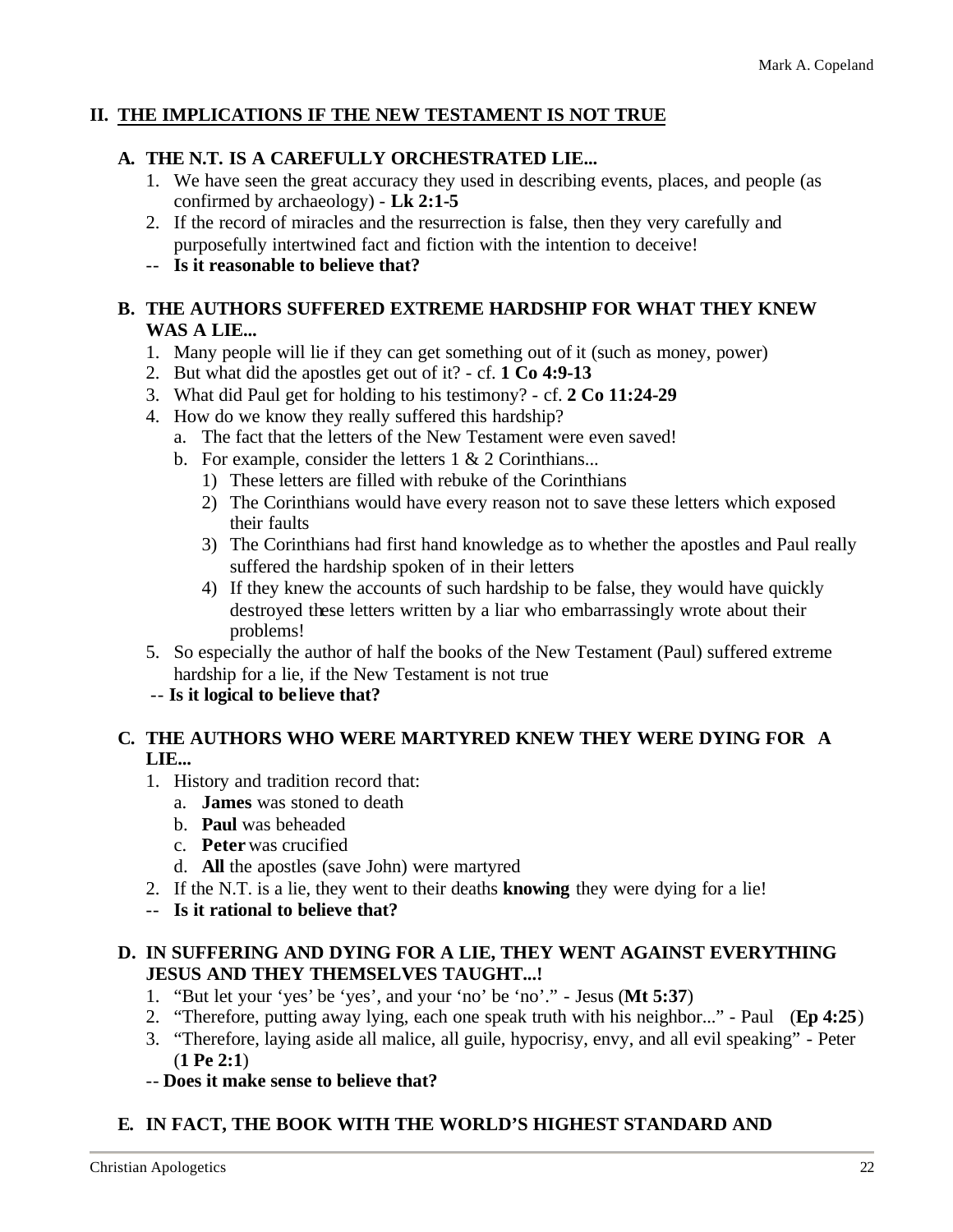#### **II. THE IMPLICATIONS IF THE NEW TESTAMENT IS NOT TRUE**

#### **A. THE N.T. IS A CAREFULLY ORCHESTRATED LIE...**

- 1. We have seen the great accuracy they used in describing events, places, and people (as confirmed by archaeology) - **Lk 2:1-5**
- 2. If the record of miracles and the resurrection is false, then they very carefully and purposefully intertwined fact and fiction with the intention to deceive!
- -- **Is it reasonable to believe that?**

#### **B. THE AUTHORS SUFFERED EXTREME HARDSHIP FOR WHAT THEY KNEW WAS A LIE...**

- 1. Many people will lie if they can get something out of it (such as money, power)
- 2. But what did the apostles get out of it? cf. **1 Co 4:9-13**
- 3. What did Paul get for holding to his testimony? cf. **2 Co 11:24-29**
- 4. How do we know they really suffered this hardship?
	- a. The fact that the letters of the New Testament were even saved!
	- b. For example, consider the letters  $1 \& 2$  Corinthians...
		- 1) These letters are filled with rebuke of the Corinthians
		- 2) The Corinthians would have every reason not to save these letters which exposed their faults
		- 3) The Corinthians had first hand knowledge as to whether the apostles and Paul really suffered the hardship spoken of in their letters
		- 4) If they knew the accounts of such hardship to be false, they would have quickly destroyed these letters written by a liar who embarrassingly wrote about their problems!
- 5. So especially the author of half the books of the New Testament (Paul) suffered extreme hardship for a lie, if the New Testament is not true
- -- **Is it logical to believe that?**

#### **C. THE AUTHORS WHO WERE MARTYRED KNEW THEY WERE DYING FOR A LIE...**

- 1. History and tradition record that:
	- a. **James** was stoned to death
	- b. **Paul** was beheaded
	- c. **Peter** was crucified
	- d. **All** the apostles (save John) were martyred
- 2. If the N.T. is a lie, they went to their deaths **knowing** they were dying for a lie!
- -- **Is it rational to believe that?**

#### **D. IN SUFFERING AND DYING FOR A LIE, THEY WENT AGAINST EVERYTHING JESUS AND THEY THEMSELVES TAUGHT...!**

- 1. "But let your 'yes' be 'yes', and your 'no' be 'no'." Jesus (**Mt 5:37**)
- 2. "Therefore, putting away lying, each one speak truth with his neighbor..." Paul (**Ep 4:25**)
- 3. "Therefore, laying aside all malice, all guile, hypocrisy, envy, and all evil speaking" Peter (**1 Pe 2:1**)
- -- **Does it make sense to believe that?**

#### **E. IN FACT, THE BOOK WITH THE WORLD'S HIGHEST STANDARD AND**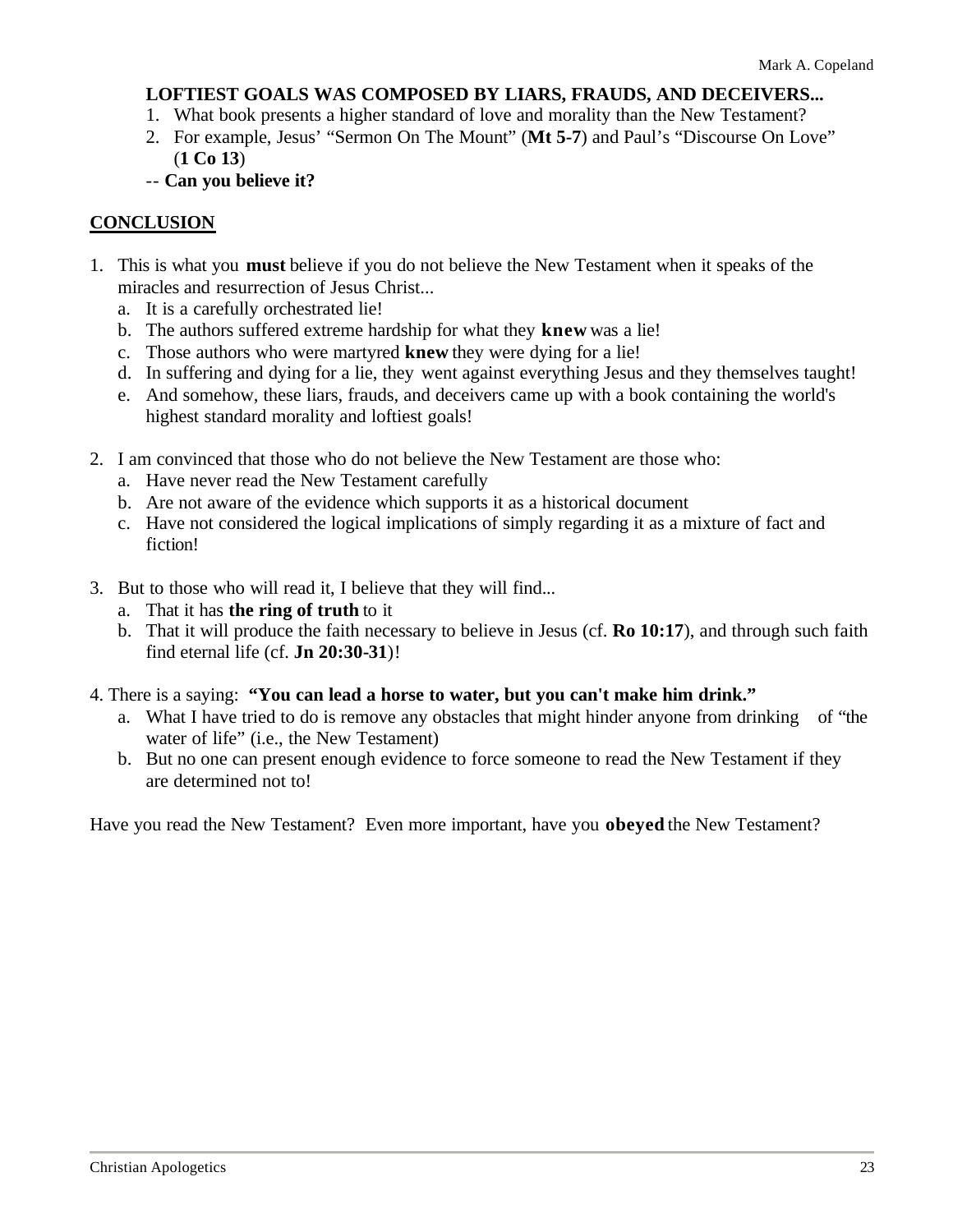#### **LOFTIEST GOALS WAS COMPOSED BY LIARS, FRAUDS, AND DECEIVERS...**

- 1. What book presents a higher standard of love and morality than the New Testament?
- 2. For example, Jesus' "Sermon On The Mount" (**Mt 5-7**) and Paul's "Discourse On Love" (**1 Co 13**)
- -- **Can you believe it?**

#### **CONCLUSION**

- 1. This is what you **must** believe if you do not believe the New Testament when it speaks of the miracles and resurrection of Jesus Christ...
	- a. It is a carefully orchestrated lie!
	- b. The authors suffered extreme hardship for what they **knew** was a lie!
	- c. Those authors who were martyred **knew** they were dying for a lie!
	- d. In suffering and dying for a lie, they went against everything Jesus and they themselves taught!
	- e. And somehow, these liars, frauds, and deceivers came up with a book containing the world's highest standard morality and loftiest goals!
- 2. I am convinced that those who do not believe the New Testament are those who:
	- a. Have never read the New Testament carefully
	- b. Are not aware of the evidence which supports it as a historical document
	- c. Have not considered the logical implications of simply regarding it as a mixture of fact and fiction!
- 3. But to those who will read it, I believe that they will find...
	- a. That it has **the ring of truth** to it
	- b. That it will produce the faith necessary to believe in Jesus (cf. **Ro 10:17**), and through such faith find eternal life (cf. **Jn 20:30-31**)!
- 4. There is a saying: **"You can lead a horse to water, but you can't make him drink."**
	- a. What I have tried to do is remove any obstacles that might hinder anyone from drinking of "the water of life" (i.e., the New Testament)
	- b. But no one can present enough evidence to force someone to read the New Testament if they are determined not to!

Have you read the New Testament? Even more important, have you **obeyed** the New Testament?